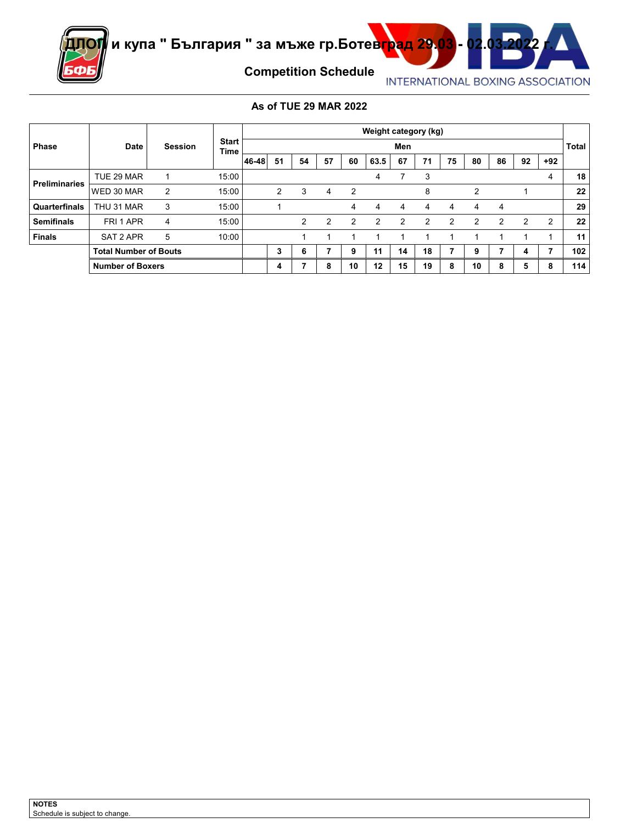

### **As of TUE 29 MAR 2022**

|                      |                         |                              |                      |       |    |    |    |               | Weight category (kg) |               |    |    |    |    |    |                |       |
|----------------------|-------------------------|------------------------------|----------------------|-------|----|----|----|---------------|----------------------|---------------|----|----|----|----|----|----------------|-------|
| <b>Phase</b>         | <b>Date</b>             | <b>Session</b>               | <b>Start</b><br>Time |       |    |    |    |               |                      | Men           |    |    |    |    |    |                | Total |
|                      |                         |                              |                      | 46-48 | 51 | 54 | 57 | 60            | 63.5                 | 67            | 71 | 75 | 80 | 86 | 92 | $+92$          |       |
|                      | TUE 29 MAR              |                              | 15:00                |       |    |    |    |               | 4                    |               | 3  |    |    |    |    | 4              | 18    |
| <b>Preliminaries</b> | WED 30 MAR              | 2                            | 15:00                |       | 2  | 3  | 4  | 2             |                      |               | 8  |    | 2  |    |    |                | 22    |
| Quarterfinals        | THU 31 MAR              | 3                            | 15:00                |       |    |    |    | 4             | 4                    | 4             | 4  | 4  | 4  | 4  |    |                | 29    |
| <b>Semifinals</b>    | FRI 1 APR               | 4                            | 15:00                |       |    | 2  | 2  | $\mathcal{P}$ | $\overline{2}$       | $\mathcal{P}$ | 2  | 2  | 2  | 2  | 2  | $\overline{2}$ | 22    |
| <b>Finals</b>        | SAT 2 APR               | 5                            | 10:00                |       |    |    |    |               |                      |               |    |    |    |    |    |                | 11    |
|                      |                         | <b>Total Number of Bouts</b> |                      | 3     | 6  |    | 9  | 11            | 14                   | 18            |    | 9  |    | 4  |    | 102            |       |
|                      | <b>Number of Boxers</b> |                              |                      |       | 4  |    | 8  | 10            | 12                   | 15            | 19 | 8  | 10 | õ  | 5  | 8              | 114   |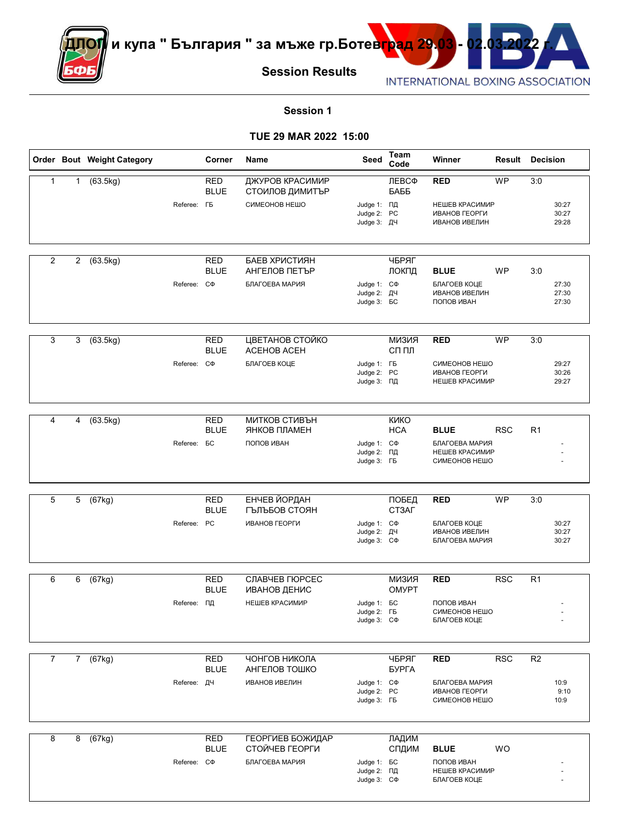

#### **Session 1**

#### **TUE 29 MAR 2022 15:00**

|                |                |                | Order Bout Weight Category |                    | Corner                    | Name                               | Seed                                                   | Team<br>Code                 | Winner                                                  | <b>Result Decision</b> |                |                         |
|----------------|----------------|----------------|----------------------------|--------------------|---------------------------|------------------------------------|--------------------------------------------------------|------------------------------|---------------------------------------------------------|------------------------|----------------|-------------------------|
| $\mathbf{1}$   | $\mathbf{1}$   |                | (63.5kg)                   |                    | <b>RED</b><br><b>BLUE</b> | ДЖУРОВ КРАСИМИР<br>СТОИЛОВ ДИМИТЪР |                                                        | ЛЕВСФ<br>БАББ                | <b>RED</b>                                              | <b>WP</b>              | 3:0            |                         |
|                |                |                |                            | Referee: <b>FB</b> |                           | СИМЕОНОВ НЕШО                      | Judge 1: ПД<br>Judge 2: PC<br>Judge 3: ДЧ              |                              | НЕШЕВ КРАСИМИР<br>ИВАНОВ ГЕОРГИ<br><b>ИВАНОВ ИВЕЛИН</b> |                        |                | 30:27<br>30:27<br>29:28 |
| $\overline{2}$ | $\overline{2}$ |                | (63.5kg)                   |                    | <b>RED</b>                | БАЕВ ХРИСТИЯН                      |                                                        | ЧБРЯГ                        |                                                         |                        |                |                         |
|                |                |                |                            |                    | <b>BLUE</b>               | АНГЕЛОВ ПЕТЪР<br>БЛАГОЕВА МАРИЯ    |                                                        | ЛОКПД                        | <b>BLUE</b>                                             | WP                     | 3:0            |                         |
|                |                |                |                            | Referee: C $\Phi$  |                           |                                    | Judge 1: C $\Phi$<br>Judge 2: ДЧ<br>Judge 3: <b>6C</b> |                              | БЛАГОЕВ КОЦЕ<br><b>ИВАНОВ ИВЕЛИН</b><br>ПОПОВ ИВАН      |                        |                | 27:30<br>27:30<br>27:30 |
| 3              | 3              |                | (63.5kg)                   |                    | <b>RED</b>                | ЦВЕТАНОВ СТОЙКО                    |                                                        | <b>КИЗИЯ</b>                 | <b>RED</b>                                              | <b>WP</b>              | 3:0            |                         |
|                |                |                |                            |                    | <b>BLUE</b>               | ACEHOB ACEH                        |                                                        | СП ПЛ                        |                                                         |                        |                |                         |
|                |                |                |                            | Referee: C $\Phi$  |                           | БЛАГОЕВ КОЦЕ                       | Judge 1: FB<br>Judge 2: PC<br>Judge 3: ПД              |                              | СИМЕОНОВ НЕШО<br>ИВАНОВ ГЕОРГИ<br>НЕШЕВ КРАСИМИР        |                        |                | 29:27<br>30:26<br>29:27 |
| 4              | 4              |                | (63.5kg)                   |                    | <b>RED</b>                | МИТКОВ СТИВЪН                      |                                                        | <b>KNKO</b>                  |                                                         |                        |                |                         |
|                |                |                |                            |                    | <b>BLUE</b>               | ЯНКОВ ПЛАМЕН                       |                                                        | <b>HCA</b>                   | <b>BLUE</b>                                             | <b>RSC</b>             | R <sub>1</sub> |                         |
|                |                |                |                            | Referee: <b>BC</b> |                           | ПОПОВ ИВАН                         | Judge 1: C $\Phi$<br>Judge 2: ПД<br>Judge 3: FB        |                              | БЛАГОЕВА МАРИЯ<br>НЕШЕВ КРАСИМИР<br>СИМЕОНОВ НЕШО       |                        |                |                         |
| 5              | 5              |                | (67kg)                     |                    | <b>RED</b>                | <b>ЕНЧЕВ ЙОРДАН</b>                |                                                        | ПОБЕД                        | <b>RED</b>                                              | <b>WP</b>              | 3:0            |                         |
|                |                |                |                            | Referee: PC        | <b>BLUE</b>               | ГЪЛЪБОВ СТОЯН<br>ИВАНОВ ГЕОРГИ     |                                                        | CT3AF                        |                                                         |                        |                |                         |
|                |                |                |                            |                    |                           |                                    | Judge 1: C $\Phi$<br>Judge 2: ДЧ<br>Judge 3: C $\Phi$  |                              | БЛАГОЕВ КОЦЕ<br><b>ИВАНОВ ИВЕЛИН</b><br>БЛАГОЕВА МАРИЯ  |                        |                | 30:27<br>30:27<br>30:27 |
| 6              | 6              |                | (67kg)                     |                    | <b>RED</b><br><b>BLUE</b> | СЛАВЧЕВ ГЮРСЕС                     |                                                        | <b>КИЗИЯ</b><br><b>OMYPT</b> | <b>RED</b>                                              | <b>RSC</b>             | R <sub>1</sub> |                         |
|                |                |                |                            | Referee: ПД        |                           | ИВАНОВ ДЕНИС<br>НЕШЕВ КРАСИМИР     | Judge 1: <b>BC</b>                                     |                              | ПОПОВ ИВАН                                              |                        |                |                         |
|                |                |                |                            |                    |                           |                                    | Judge 2: FB<br>Judge 3: C $\Phi$                       |                              | СИМЕОНОВ НЕШО<br>БЛАГОЕВ КОЦЕ                           |                        |                |                         |
| $\overline{7}$ |                | 7 <sup>7</sup> | (67kg)                     |                    | <b>RED</b><br><b>BLUE</b> | ЧОНГОВ НИКОЛА<br>АНГЕЛОВ ТОШКО     |                                                        | ЧБРЯГ<br>БУРГА               | <b>RED</b>                                              | RSC                    | R <sub>2</sub> |                         |
|                |                |                |                            | Referee: ДЧ        |                           | <b>ИВАНОВ ИВЕЛИН</b>               | Judge 1: C $\Phi$<br>Judge 2: PC<br>Judge 3: FB        |                              | БЛАГОЕВА МАРИЯ<br>ИВАНОВ ГЕОРГИ<br>СИМЕОНОВ НЕШО        |                        |                | 10:9<br>9:10<br>10:9    |
| 8              |                | 8              | (67kg)                     |                    | RED                       | <b>ГЕОРГИЕВ БОЖИДАР</b>            |                                                        | ЛАДИМ                        |                                                         |                        |                |                         |
|                |                |                |                            |                    | <b>BLUE</b>               | СТОЙЧЕВ ГЕОРГИ                     |                                                        | СПДИМ                        | <b>BLUE</b>                                             | <b>WO</b>              |                |                         |
|                |                |                |                            | Referee: C $\Phi$  |                           | БЛАГОЕВА МАРИЯ                     | Judge 1: <b>6C</b><br>Judge 2: ПД<br>Judge 3: C $\Phi$ |                              | ПОПОВ ИВАН<br>НЕШЕВ КРАСИМИР<br>БЛАГОЕВ КОЦЕ            |                        |                |                         |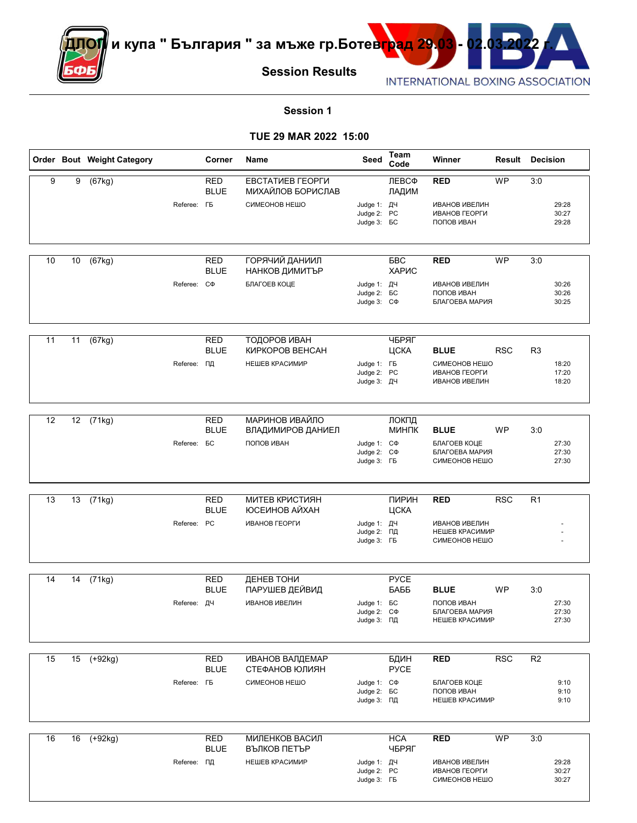

### **Session 1**

#### **TUE 29 MAR 2022 15:00**

|    |    | Order Bout Weight Category |                     | Corner                    | Name                                                   | Seed                                                    | Team<br>Code        | Winner                                                         | Result     | <b>Decision</b> |                         |
|----|----|----------------------------|---------------------|---------------------------|--------------------------------------------------------|---------------------------------------------------------|---------------------|----------------------------------------------------------------|------------|-----------------|-------------------------|
| 9  | 9  | (67kg)                     | Referee: <b>F</b> B | RED<br><b>BLUE</b>        | ЕВСТАТИЕВ ГЕОРГИ<br>МИХАЙЛОВ БОРИСЛАВ<br>СИМЕОНОВ НЕШО | Judge 1: ДЧ                                             | ЛЕВСФ<br>ЛАДИМ      | <b>RED</b><br><b>ИВАНОВ ИВЕЛИН</b>                             | <b>WP</b>  | 3:0             | 29:28                   |
|    |    |                            |                     |                           |                                                        | Judge 2: PC<br>Judge 3: <b>6C</b>                       |                     | ИВАНОВ ГЕОРГИ<br>ПОПОВ ИВАН                                    |            |                 | 30:27<br>29:28          |
| 10 | 10 | (67kg)                     |                     | <b>RED</b><br><b>BLUE</b> | ГОРЯЧИЙ ДАНИИЛ<br>НАНКОВ ДИМИТЪР                       |                                                         | <b>BBC</b><br>ХАРИС | <b>RED</b>                                                     | <b>WP</b>  | 3:0             |                         |
|    |    |                            | Referee:            | CФ                        | БЛАГОЕВ КОЦЕ                                           | Judge 1: ДЧ<br>Judge 2: <b>BC</b><br>Judge 3: C $\Phi$  |                     | <b>ИВАНОВ ИВЕЛИН</b><br>ПОПОВ ИВАН<br>БЛАГОЕВА МАРИЯ           |            |                 | 30:26<br>30:26<br>30:25 |
| 11 | 11 | (67kg)                     |                     | <b>RED</b><br><b>BLUE</b> | ТОДОРОВ ИВАН<br>КИРКОРОВ ВЕНСАН                        |                                                         | ЧБРЯГ<br>ЦСКА       | <b>BLUE</b>                                                    | <b>RSC</b> | R <sub>3</sub>  |                         |
|    |    |                            | Referee: ПД         |                           | НЕШЕВ КРАСИМИР                                         | Judge 1: FB<br>Judge 2: PC<br>Judge 3: ДЧ               |                     | СИМЕОНОВ НЕШО<br>ИВАНОВ ГЕОРГИ<br><b>ИВАНОВ ИВЕЛИН</b>         |            |                 | 18:20<br>17:20<br>18:20 |
| 12 | 12 | (71kg)                     |                     | <b>RED</b>                | МАРИНОВ ИВАЙЛО                                         |                                                         | ЛОКПД               |                                                                |            |                 |                         |
|    |    |                            | Referee: <b>BC</b>  | <b>BLUE</b>               | ВЛАДИМИРОВ ДАНИЕЛ<br>ПОПОВ ИВАН                        | Judge 1: C $\Phi$<br>Judge 2: C $\Phi$<br>Judge 3: FB   | МИНПК               | <b>BLUE</b><br>БЛАГОЕВ КОЦЕ<br>БЛАГОЕВА МАРИЯ<br>СИМЕОНОВ НЕШО | <b>WP</b>  | 3:0             | 27:30<br>27:30<br>27:30 |
| 13 | 13 | (71kg)                     |                     | <b>RED</b><br><b>BLUE</b> | <b>МИТЕВ КРИСТИЯН</b><br>ЮСЕИНОВ АЙХАН                 |                                                         | ПИРИН<br>ЦСКА       | <b>RED</b>                                                     | <b>RSC</b> | R <sub>1</sub>  |                         |
|    |    |                            | Referee: PC         |                           | ИВАНОВ ГЕОРГИ                                          | Judge 1: ДЧ<br>Judge 2: ПД<br>Judge 3: FB               |                     | <b>ИВАНОВ ИВЕЛИН</b><br>НЕШЕВ КРАСИМИР<br>СИМЕОНОВ НЕШО        |            |                 |                         |
| 14 | 14 | (71kg)                     |                     | <b>RED</b><br><b>BLUE</b> | ДЕНЕВ ТОНИ<br>ПАРУШЕВ ДЕЙВИД                           |                                                         | <b>PYCE</b><br>БАББ | <b>BLUE</b>                                                    | <b>WP</b>  | 3:0             |                         |
|    |    |                            | Referee: ДЧ         |                           | <b>ИВАНОВ ИВЕЛИН</b>                                   | Judge 1: <b>BC</b><br>Judge $2:$ $C\Phi$<br>Judge 3: ПД |                     | ПОПОВ ИВАН<br><b>ЫЈАГОЕВА МАРИЯ</b><br>НЕШЕВ КРАСИМИР          |            |                 | 27:30<br>27:30<br>27:30 |
| 15 |    | 15 (+92kg)                 |                     | <b>RED</b><br><b>BLUE</b> | <b>ИВАНОВ ВАЛДЕМАР</b><br>СТЕФАНОВ ЮЛИЯН               |                                                         | БДИН<br><b>PYCE</b> | <b>RED</b>                                                     | RSC        | R <sub>2</sub>  |                         |
|    |    |                            | Referee: <b>FB</b>  |                           | СИМЕОНОВ НЕШО                                          | Judge 1: C $\Phi$<br>Judge 2: <b>BC</b><br>Judge 3: ПД  |                     | БЛАГОЕВ КОЦЕ<br>ПОПОВ ИВАН<br>НЕШЕВ КРАСИМИР                   |            |                 | 9:10<br>9:10<br>9:10    |
| 16 |    | 16 (+92kg)                 |                     | <b>RED</b><br><b>BLUE</b> | МИЛЕНКОВ ВАСИЛ<br>ВЪЛКОВ ПЕТЪР                         |                                                         | <b>HCA</b><br>ЧБРЯГ | <b>RED</b>                                                     | <b>WP</b>  | 3:0             |                         |
|    |    |                            | Referee: ПД         |                           | НЕШЕВ КРАСИМИР                                         | Judge 1: ДЧ<br>Judge 2: PC<br>Judge 3: FB               |                     | ИВАНОВ ИВЕЛИН<br>ИВАНОВ ГЕОРГИ<br>СИМЕОНОВ НЕШО                |            |                 | 29:28<br>30:27<br>30:27 |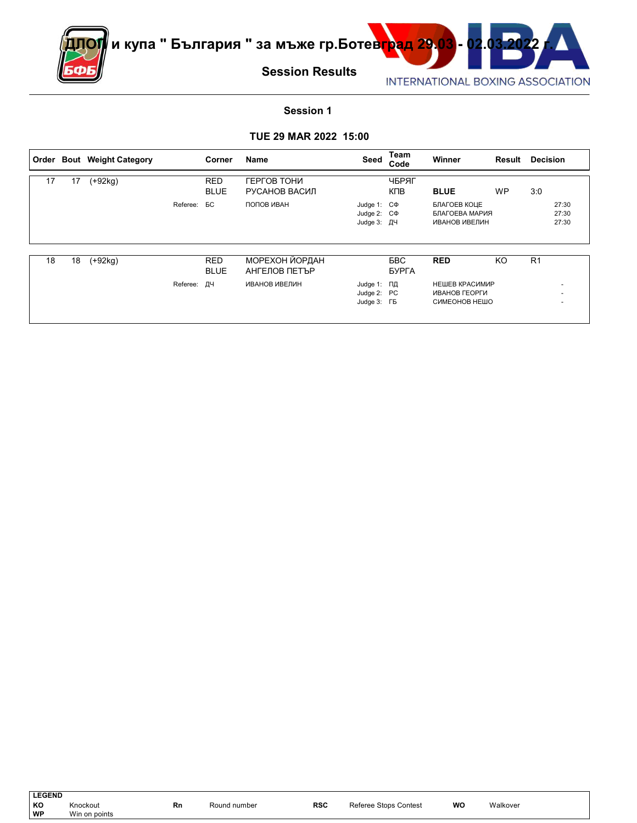

#### **Session 1**

#### **TUE 29 MAR 2022 15:00**

|    |    | Order Bout Weight Category |             | Corner                    | Name                            | Seed                                                | Team<br>Code        | Winner                                           | Result    | <b>Decision</b> |                               |
|----|----|----------------------------|-------------|---------------------------|---------------------------------|-----------------------------------------------------|---------------------|--------------------------------------------------|-----------|-----------------|-------------------------------|
| 17 | 17 | $(+92kg)$                  |             | <b>RED</b><br><b>BLUE</b> | ГЕРГОВ ТОНИ<br>РУСАНОВ ВАСИЛ    |                                                     | ЧБРЯГ<br>КПВ        | <b>BLUE</b>                                      | <b>WP</b> | 3:0             |                               |
|    |    |                            | Referee:    | БC                        | ПОПОВ ИВАН                      | Judge 1: $C\Phi$<br>Judge 2: $C\Phi$<br>Judge 3: ДЧ |                     | БЛАГОЕВ КОЦЕ<br>БЛАГОЕВА МАРИЯ<br>ИВАНОВ ИВЕЛИН  |           |                 | 27:30<br>27:30<br>27:30       |
| 18 | 18 | $(+92kg)$                  |             | <b>RED</b><br><b>BLUE</b> | МОРЕХОН ЙОРДАН<br>АНГЕЛОВ ПЕТЪР |                                                     | <b>BBC</b><br>БУРГА | <b>RED</b>                                       | KO        | R <sub>1</sub>  |                               |
|    |    |                            | Referee: ДЧ |                           | ИВАНОВ ИВЕЛИН                   | Judge 1: ПД<br>Judge 2: PC<br>Judge 3: FB           |                     | НЕШЕВ КРАСИМИР<br>ИВАНОВ ГЕОРГИ<br>СИМЕОНОВ НЕШО |           |                 | $\overline{\phantom{a}}$<br>- |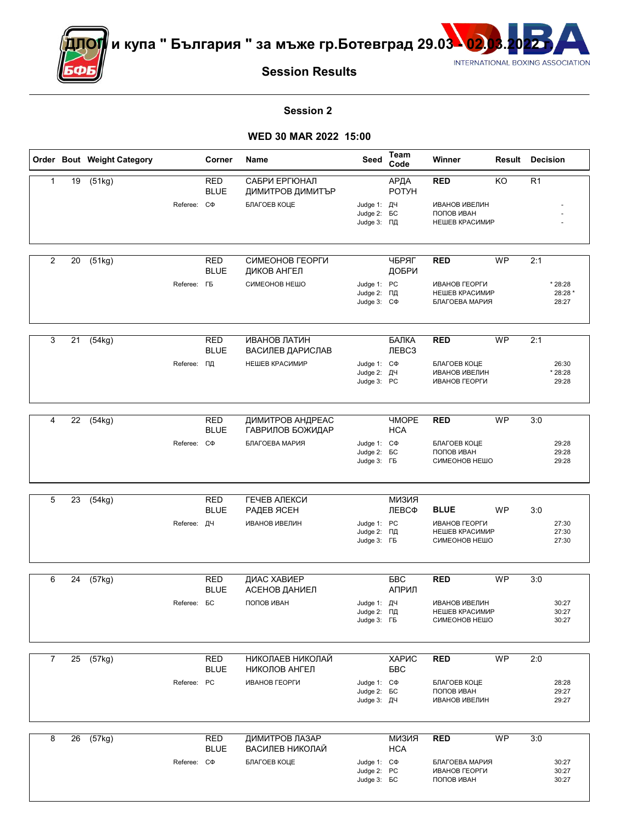

<mark>ДОГ</mark> и купа " България " за мъже гр.Ботевград 29.03 <mark>- 02</mark>



**Session Results**

#### **Session 2**

## **WED 30 MAR 2022 15:00**

|                |    | Order Bout Weight Category |                    | Corner                    | Name                                              | Seed                                                   | <b>Team</b><br>Code               | Winner                                                  |           | <b>Result Decision</b>      |
|----------------|----|----------------------------|--------------------|---------------------------|---------------------------------------------------|--------------------------------------------------------|-----------------------------------|---------------------------------------------------------|-----------|-----------------------------|
| $\mathbf{1}$   | 19 | (51kg)                     | Referee: CФ        | <b>RED</b><br><b>BLUE</b> | САБРИ ЕРГЮНАЛ<br>ДИМИТРОВ ДИМИТЪР<br>БЛАГОЕВ КОЦЕ | Judge 1: ДЧ                                            | АРДА<br><b>POTYH</b>              | <b>RED</b><br><b>ИВАНОВ ИВЕЛИН</b>                      | KO        | R <sub>1</sub>              |
|                |    |                            |                    |                           |                                                   | Judge 2: <b>6C</b><br>Judge 3: ПД                      |                                   | ПОПОВ ИВАН<br>НЕШЕВ КРАСИМИР                            |           |                             |
| $\overline{2}$ | 20 | (51kg)                     |                    | <b>RED</b><br><b>BLUE</b> | СИМЕОНОВ ГЕОРГИ<br>ДИКОВ АНГЕЛ                    |                                                        | ЧБРЯГ<br>ДОБРИ                    | <b>RED</b>                                              | <b>WP</b> | 2:1                         |
|                |    |                            | Referee: <b>FB</b> |                           | СИМЕОНОВ НЕШО                                     | Judge 1: PC<br>Judge 2: ПД<br>Judge 3: C $\Phi$        |                                   | ИВАНОВ ГЕОРГИ<br>НЕШЕВ КРАСИМИР<br>БЛАГОЕВА МАРИЯ       |           | * 28:28<br>28:28 *<br>28:27 |
| 3              | 21 | (54kg)                     |                    | <b>RED</b><br><b>BLUE</b> | ИВАНОВ ЛАТИН<br>ВАСИЛЕВ ДАРИСЛАВ                  |                                                        | БАЛКА<br>Л <b>ЕВСЗ</b>            | <b>RED</b>                                              | <b>WP</b> | 2:1                         |
|                |    |                            | Referee: ПД        |                           | НЕШЕВ КРАСИМИР                                    | Judge 1: C $\Phi$<br>Judge 2: ДЧ<br>Judge 3: PC        |                                   | БЛАГОЕВ КОЦЕ<br><b>ИВАНОВ ИВЕЛИН</b><br>ИВАНОВ ГЕОРГИ   |           | 26:30<br>* 28:28<br>29:28   |
| 4              | 22 | (54kg)                     |                    | <b>RED</b><br><b>BLUE</b> | ДИМИТРОВ АНДРЕАС<br>ГАВРИЛОВ БОЖИДАР              |                                                        | <b><i>HMOPE</i></b><br><b>HCA</b> | <b>RED</b>                                              | <b>WP</b> | 3:0                         |
|                |    |                            | Referee: C $\Phi$  |                           | БЛАГОЕВА МАРИЯ                                    | Judge 1: C $\Phi$<br>Judge 2: <b>BC</b><br>Judge 3: FB |                                   | БЛАГОЕВ КОЦЕ<br>ПОПОВ ИВАН<br>СИМЕОНОВ НЕШО             |           | 29:28<br>29:28<br>29:28     |
| 5              | 23 | (54kg)                     |                    | <b>RED</b><br><b>BLUE</b> | ГЕЧЕВ АЛЕКСИ                                      |                                                        | КККММ<br>ЛЕВСФ                    | <b>BLUE</b>                                             | WP        | 3:0                         |
|                |    |                            | Referee: ДЧ        |                           | РАДЕВ ЯСЕН<br><b>ИВАНОВ ИВЕЛИН</b>                | Judge 1: PC<br>Judge 2: ПД<br>Judge 3: FB              |                                   | ИВАНОВ ГЕОРГИ<br>НЕШЕВ КРАСИМИР<br>СИМЕОНОВ НЕШО        |           | 27:30<br>27:30<br>27:30     |
| 6              | 24 | (57kg)                     |                    | <b>RED</b><br><b>BLUE</b> | ДИАС ХАВИЕР<br>АСЕНОВ ДАНИЕЛ                      |                                                        | <b>BBC</b><br>АПРИЛ               | <b>RED</b>                                              | <b>WP</b> | 3:0                         |
|                |    |                            | Referee: <b>BC</b> |                           | ПОПОВ ИВАН                                        | Judge 1: ДЧ<br>Judge 2: ПД<br>Judge 3: FB              |                                   | <b>ИВАНОВ ИВЕЛИН</b><br>НЕШЕВ КРАСИМИР<br>СИМЕОНОВ НЕШО |           | 30:27<br>30:27<br>30:27     |
| $\overline{7}$ |    | $\overline{25}$ (57kg)     |                    | <b>RED</b><br><b>BLUE</b> | НИКОЛАЕВ НИКОЛАЙ<br>НИКОЛОВ АНГЕЛ                 |                                                        | ХАРИС<br>БBС                      | <b>RED</b>                                              | <b>WP</b> | 2:0                         |
|                |    |                            | Referee: PC        |                           | ИВАНОВ ГЕОРГИ                                     | Judge 1: C $\Phi$<br>Judge 2: <b>6C</b><br>Judge 3: ДЧ |                                   | БЛАГОЕВ КОЦЕ<br>ПОПОВ ИВАН<br><b>ИВАНОВ ИВЕЛИН</b>      |           | 28:28<br>29:27<br>29:27     |
| 8              | 26 | (57kg)                     |                    | <b>RED</b><br><b>BLUE</b> | ДИМИТРОВ ЛАЗАР<br>ВАСИЛЕВ НИКОЛАЙ                 |                                                        | <b>КИЗИЯ</b><br><b>HCA</b>        | RED                                                     | <b>WP</b> | 3:0                         |
|                |    |                            | Referee: C $\Phi$  |                           | БЛАГОЕВ КОЦЕ                                      | Judge 1: C $\Phi$<br>Judge 2: PC<br>Judge 3: <b>6C</b> |                                   | БЛАГОЕВА МАРИЯ<br>ИВАНОВ ГЕОРГИ<br>ПОПОВ ИВАН           |           | 30:27<br>30:27<br>30:27     |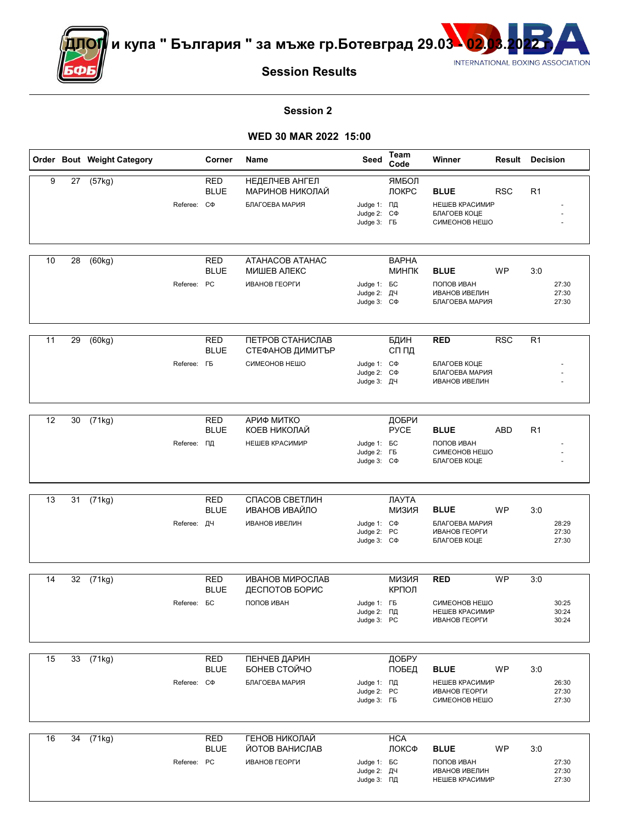



**Session Results**

#### **Session 2**

## **WED 30 MAR 2022 15:00**

|    |    | Order Bout Weight Category |                    | Corner                    | Name                                                    | Seed                                                   | Team<br>Code                 | Winner                                                               | <b>Result Decision</b> |                |                         |
|----|----|----------------------------|--------------------|---------------------------|---------------------------------------------------------|--------------------------------------------------------|------------------------------|----------------------------------------------------------------------|------------------------|----------------|-------------------------|
| 9  | 27 | (57kg)                     | Referee: C $\Phi$  | RED<br><b>BLUE</b>        | НЕДЕЛЧЕВ АНГЕЛ<br>МАРИНОВ НИКОЛАЙ<br>БЛАГОЕВА МАРИЯ     | Judge 1: ПД<br>Judge 2: C $\Phi$<br>Judge 3: FB        | ЯМБОЛ<br>ЛОКРС               | <b>BLUE</b><br>НЕШЕВ КРАСИМИР<br>БЛАГОЕВ КОЦЕ<br>СИМЕОНОВ НЕШО       | <b>RSC</b>             | R <sub>1</sub> |                         |
| 10 | 28 | (60kg)                     | Referee: PC        | RED<br><b>BLUE</b>        | ATAHACOB ATAHAC<br>МИШЕВ АЛЕКС<br>ИВАНОВ ГЕОРГИ         | Judge 1: <b>BC</b><br>Judge 2: ДЧ<br>Judge 3: C $\Phi$ | <b>BAPHA</b><br><b>МИНПК</b> | <b>BLUE</b><br>ПОПОВ ИВАН<br><b>ИВАНОВ ИВЕЛИН</b><br>БЛАГОЕВА МАРИЯ  | <b>WP</b>              | 3:0            | 27:30<br>27:30<br>27:30 |
| 11 | 29 | (60kg)                     | Referee: <b>FB</b> | RED<br><b>BLUE</b>        | ПЕТРОВ СТАНИСЛАВ<br>СТЕФАНОВ ДИМИТЪР<br>СИМЕОНОВ НЕШО   | Judge 1: C $\Phi$<br>Judge 2: C $\Phi$<br>Judge 3: ДЧ  | БДИН<br>СП ПД                | <b>RED</b><br>БЛАГОЕВ КОЦЕ<br>БЛАГОЕВА МАРИЯ<br><b>ИВАНОВ ИВЕЛИН</b> | <b>RSC</b>             | R <sub>1</sub> |                         |
| 12 | 30 | (71kg)                     | Referee: ПД        | <b>RED</b><br><b>BLUE</b> | АРИФ МИТКО<br>КОЕВ НИКОЛАЙ<br>НЕШЕВ КРАСИМИР            | Judge 1: <b>BC</b><br>Judge 2: FB<br>Judge 3: C $\Phi$ | ДОБРИ<br><b>PYCE</b>         | <b>BLUE</b><br>ПОПОВ ИВАН<br>СИМЕОНОВ НЕШО<br>БЛАГОЕВ КОЦЕ           | <b>ABD</b>             | R <sub>1</sub> |                         |
| 13 | 31 | (71kg)                     | Referee: ДЧ        | <b>RED</b><br><b>BLUE</b> | СПАСОВ СВЕТЛИН<br>ИВАНОВ ИВАЙЛО<br><b>ИВАНОВ ИВЕЛИН</b> | Judge 1: C $\Phi$<br>Judge 2: PC<br>Judge 3: C $\Phi$  | ЛАУТА<br>КМЕЛИ               | <b>BLUE</b><br>БЛАГОЕВА МАРИЯ<br>ИВАНОВ ГЕОРГИ<br>БЛАГОЕВ КОЦЕ       | WP                     | 3:0            | 28:29<br>27:30<br>27:30 |
| 14 | 32 | (71kg)                     | Referee: <b>BC</b> | <b>RED</b><br><b>BLUE</b> | ИВАНОВ МИРОСЛАВ<br>ДЕСПОТОВ БОРИС<br>ПОПОВ ИВАН         | Judge 1: FB<br>Judge 2: ПД<br>Judge 3: PC              | МИЗИЯ<br>КРПОЛ               | <b>RED</b><br>СИМЕОНОВ НЕШО<br>НЕШЕВ КРАСИМИР<br>ИВАНОВ ГЕОРГИ       | <b>WP</b>              | 3:0            | 30:25<br>30:24<br>30:24 |
| 15 | 33 | (71kg)                     | Referee: C $\Phi$  | <b>RED</b><br><b>BLUE</b> | ПЕНЧЕВ ДАРИН<br>БОНЕВ СТОЙЧО<br>БЛАГОЕВА МАРИЯ          | Judge 1: ПД<br>Judge 2: PC<br>Judge 3: FB              | ДОБРУ<br>ПОБЕД               | <b>BLUE</b><br>НЕШЕВ КРАСИМИР<br>ИВАНОВ ГЕОРГИ<br>СИМЕОНОВ НЕШО      | WP                     | 3:0            | 26:30<br>27:30<br>27:30 |
| 16 | 34 | (71kg)                     | Referee: PC        | <b>RED</b><br><b>BLUE</b> | ГЕНОВ НИКОЛАЙ<br>ЙОТОВ ВАНИСЛАВ<br><b>ИВАНОВ ГЕОРГИ</b> | Judge 1: <b>6C</b><br>Judge 2: ДЧ<br>Judge 3: ПД       | <b>HCA</b><br>ЛОКСФ          | <b>BLUE</b><br>ПОПОВ ИВАН<br><b>ИВАНОВ ИВЕЛИН</b><br>НЕШЕВ КРАСИМИР  | WP                     | 3:0            | 27:30<br>27:30<br>27:30 |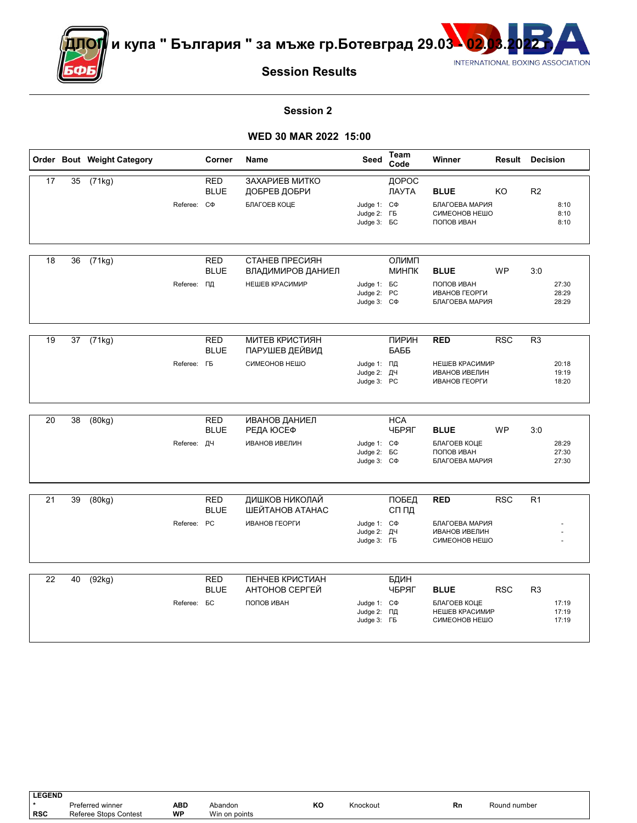

<sup>∣</sup>и купа " България " за мъже гр.Ботевград 29.03 <mark>\ 02</mark>



**Session Results**

#### **Session 2**

### **WED 30 MAR 2022 15:00**

|    |    | Order Bout Weight Category |                    | Corner                    | Name                                    | Seed                                                         | Team<br>Code        | Winner                                                  | <b>Result Decision</b> |                |                         |
|----|----|----------------------------|--------------------|---------------------------|-----------------------------------------|--------------------------------------------------------------|---------------------|---------------------------------------------------------|------------------------|----------------|-------------------------|
| 17 | 35 | (71kg)                     |                    | <b>RED</b><br><b>BLUE</b> | ЗАХАРИЕВ МИТКО<br>ДОБРЕВ ДОБРИ          |                                                              | ДОРОС<br>ЛАУТА      | <b>BLUE</b>                                             | KO.                    | R <sub>2</sub> |                         |
|    |    |                            | Referee: C $\Phi$  |                           | БЛАГОЕВ КОЦЕ                            | Judge 1: C $\Phi$<br>Judge 2: FB<br>Judge 3: <b>6C</b>       |                     | БЛАГОЕВА МАРИЯ<br>СИМЕОНОВ НЕШО<br>ПОПОВ ИВАН           |                        |                | 8:10<br>8:10<br>8:10    |
| 18 |    |                            |                    | <b>RED</b>                | СТАНЕВ ПРЕСИЯН                          |                                                              | ОЛИМП               |                                                         |                        |                |                         |
|    | 36 | (71kg)                     |                    | <b>BLUE</b>               | ВЛАДИМИРОВ ДАНИЕЛ                       |                                                              | <b>МИНПК</b>        | <b>BLUE</b>                                             | <b>WP</b>              | 3:0            |                         |
|    |    |                            | Referee: ПД        |                           | НЕШЕВ КРАСИМИР                          | Judge 1: <b>BC</b><br>Judge 2: PC<br>Judge 3: C $\Phi$       |                     | ПОПОВ ИВАН<br>ИВАНОВ ГЕОРГИ<br>БЛАГОЕВА МАРИЯ           |                        |                | 27:30<br>28:29<br>28:29 |
|    |    |                            |                    |                           |                                         |                                                              |                     |                                                         |                        |                |                         |
| 19 | 37 | (71kg)                     |                    | <b>RED</b><br><b>BLUE</b> | <b>МИТЕВ КРИСТИЯН</b><br>ПАРУШЕВ ДЕЙВИД |                                                              | ПИРИН<br>БАББ       | <b>RED</b>                                              | <b>RSC</b>             | R <sub>3</sub> |                         |
|    |    |                            | Referee: <b>FB</b> |                           | СИМЕОНОВ НЕШО                           | Judge 1: ПД<br>Judge 2: ДЧ<br>Judge 3: PC                    |                     | НЕШЕВ КРАСИМИР<br><b>ИВАНОВ ИВЕЛИН</b><br>ИВАНОВ ГЕОРГИ |                        |                | 20:18<br>19:19<br>18:20 |
|    |    |                            |                    |                           |                                         |                                                              |                     |                                                         |                        |                |                         |
| 20 | 38 | (80kg)                     |                    | <b>RED</b><br><b>BLUE</b> | <b>ИВАНОВ ДАНИЕЛ</b><br>РЕДА ЮСЕФ       |                                                              | <b>HCA</b><br>ЧБРЯГ | <b>BLUE</b>                                             | <b>WP</b>              | 3:0            |                         |
|    |    |                            | Referee: ДЧ        |                           | <b>ИВАНОВ ИВЕЛИН</b>                    | Judge 1: C $\Phi$<br>Judge 2: <b>6C</b><br>Judge 3: C $\Phi$ |                     | БЛАГОЕВ КОЦЕ<br>ПОПОВ ИВАН<br>БЛАГОЕВА МАРИЯ            |                        |                | 28:29<br>27:30<br>27:30 |
|    |    |                            |                    |                           |                                         |                                                              |                     |                                                         |                        |                |                         |
| 21 | 39 | (80kg)                     |                    | <b>RED</b><br><b>BLUE</b> | ДИШКОВ НИКОЛАЙ<br>ШЕЙТАНОВ АТАНАС       |                                                              | ПОБЕД<br>СП ПД      | <b>RED</b>                                              | <b>RSC</b>             | R <sub>1</sub> |                         |
|    |    |                            | Referee: PC        |                           | ИВАНОВ ГЕОРГИ                           | Judge 1: C $\Phi$<br>Judge 2: ДЧ<br>Judge 3: FB              |                     | БЛАГОЕВА МАРИЯ<br><b>ИВАНОВ ИВЕЛИН</b><br>СИМЕОНОВ НЕШО |                        |                |                         |
|    |    |                            |                    |                           |                                         |                                                              |                     |                                                         |                        |                |                         |
| 22 | 40 | (92kg)                     |                    | <b>RED</b><br><b>BLUE</b> | ПЕНЧЕВ КРИСТИАН<br>АНТОНОВ СЕРГЕЙ       |                                                              | БДИН<br>ЧБРЯГ       | <b>BLUE</b>                                             | <b>RSC</b>             | R <sub>3</sub> |                         |
|    |    |                            | Referee: <b>BC</b> |                           | ПОПОВ ИВАН                              | Judge 1: C $\Phi$<br>Judge 2: ПД<br>Judge 3: FB              |                     | БЛАГОЕВ КОЦЕ<br>НЕШЕВ КРАСИМИР<br>СИМЕОНОВ НЕШО         |                        |                | 17:19<br>17:19<br>17:19 |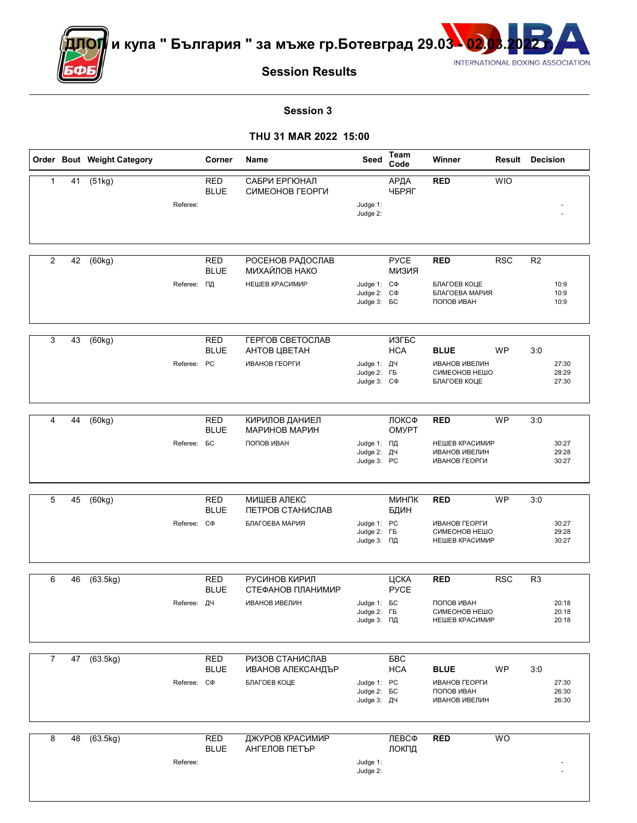

<mark>ДОГ</mark> и купа " България " за мъже гр.Ботевград 29.03 <mark>- 02</mark>



**Session Results**

#### **Session 3**

|                |    | Order Bout Weight Category |                    | Corner                    | Name                                                        | Seed                                                         | <b>Team</b><br>Code   | Winner                                                                |            | <b>Result Decision</b>                    |
|----------------|----|----------------------------|--------------------|---------------------------|-------------------------------------------------------------|--------------------------------------------------------------|-----------------------|-----------------------------------------------------------------------|------------|-------------------------------------------|
| $\mathbf{1}$   | 41 | (51kg)                     | Referee:           | <b>RED</b><br><b>BLUE</b> | САБРИ ЕРГЮНАЛ<br>СИМЕОНОВ ГЕОРГИ                            | Judge 1:<br>Judge 2:                                         | АРДА<br>ЧБРЯГ         | <b>RED</b>                                                            | <b>WIO</b> |                                           |
| $\overline{2}$ | 42 | (60kg)                     | Referee: ПД        | <b>RED</b><br><b>BLUE</b> | РОСЕНОВ РАДОСЛАВ<br>МИХАЙЛОВ НАКО<br>НЕШЕВ КРАСИМИР         | Judge 1: C $\Phi$<br>Judge 2: C $\Phi$<br>Judge 3: <b>6C</b> | <b>PYCE</b><br>МИЗИЯ  | <b>RED</b><br>БЛАГОЕВ КОЦЕ<br>БЛАГОЕВА МАРИЯ<br>ПОПОВ ИВАН            | RSC        | R <sub>2</sub><br>10:9<br>10:9<br>10:9    |
| 3              | 43 | (60kg)                     | Referee: PC        | <b>RED</b><br><b>BLUE</b> | <b>ГЕРГОВ СВЕТОСЛАВ</b><br>АНТОВ ЦВЕТАН<br>ИВАНОВ ГЕОРГИ    | Judge 1: ДЧ<br>Judge 2: FB<br>Judge 3: C $\Phi$              | ИЗГБС<br><b>HCA</b>   | <b>BLUE</b><br><b>ИВАНОВ ИВЕЛИН</b><br>СИМЕОНОВ НЕШО<br>БЛАГОЕВ КОЦЕ  | <b>WP</b>  | 3:0<br>27:30<br>28:29<br>27:30            |
| 4              | 44 | (60kg)                     | Referee: <b>BC</b> | <b>RED</b><br><b>BLUE</b> | КИРИЛОВ ДАНИЕЛ<br>МАРИНОВ МАРИН<br>ПОПОВ ИВАН               | Judge 1: ПД<br>Judge 2: ДЧ<br>Judge 3: PC                    | ЛОКСФ<br><b>OMYPT</b> | <b>RED</b><br>НЕШЕВ КРАСИМИР<br><b>ИВАНОВ ИВЕЛИН</b><br>ИВАНОВ ГЕОРГИ | <b>WP</b>  | 3:0<br>30:27<br>29:28<br>30:27            |
| 5              | 45 | (60kg)                     | Referee: CФ        | <b>RED</b><br><b>BLUE</b> | МИШЕВ АЛЕКС<br>ПЕТРОВ СТАНИСЛАВ<br>БЛАГОЕВА МАРИЯ           | Judge 1: PC<br>Judge 2: FB<br>Judge 3: ПД                    | МИНПК<br>БДИН         | <b>RED</b><br>ИВАНОВ ГЕОРГИ<br>СИМЕОНОВ НЕШО<br>НЕШЕВ КРАСИМИР        | <b>WP</b>  | 3:0<br>30:27<br>29:28<br>30:27            |
| 6              | 46 | (63.5kg)                   | Referee: ДЧ        | <b>RED</b><br><b>BLUE</b> | РУСИНОВ КИРИЛ<br>СТЕФАНОВ ПЛАНИМИР<br><b>ИВАНОВ ИВЕЛИН</b>  | Judge 1: <b>6C</b><br>Judge 2: FB<br>Judge 3: ПД             | ЦСКА<br><b>PYCE</b>   | <b>RED</b><br>ПОПОВ ИВАН<br>СИМЕОНОВ НЕШО<br>НЕШЕВ КРАСИМИР           | <b>RSC</b> | R <sub>3</sub><br>20:18<br>20:18<br>20:18 |
| $\overline{7}$ |    | 47 (63.5kg)                | Referee: C $\Phi$  | <b>RED</b><br><b>BLUE</b> | РИЗОВ СТАНИСЛАВ<br><b>ИВАНОВ АЛЕКСАНДЪР</b><br>БЛАГОЕВ КОЦЕ | Judge 1: PC<br>Judge 2: <b>6C</b><br>Judge 3: ДЧ             | БBС<br><b>HCA</b>     | <b>BLUE</b><br>ИВАНОВ ГЕОРГИ<br>ПОПОВ ИВАН<br><b>ИВАНОВ ИВЕЛИН</b>    | WP         | 3:0<br>27:30<br>26:30<br>26:30            |
| 8              | 48 | (63.5kg)                   | Referee:           | <b>RED</b><br><b>BLUE</b> | ДЖУРОВ КРАСИМИР<br>АНГЕЛОВ ПЕТЪР                            | Judge 1:<br>Judge 2:                                         | ЛЕВСФ<br>ЛОКПД        | <b>RED</b>                                                            | <b>WO</b>  |                                           |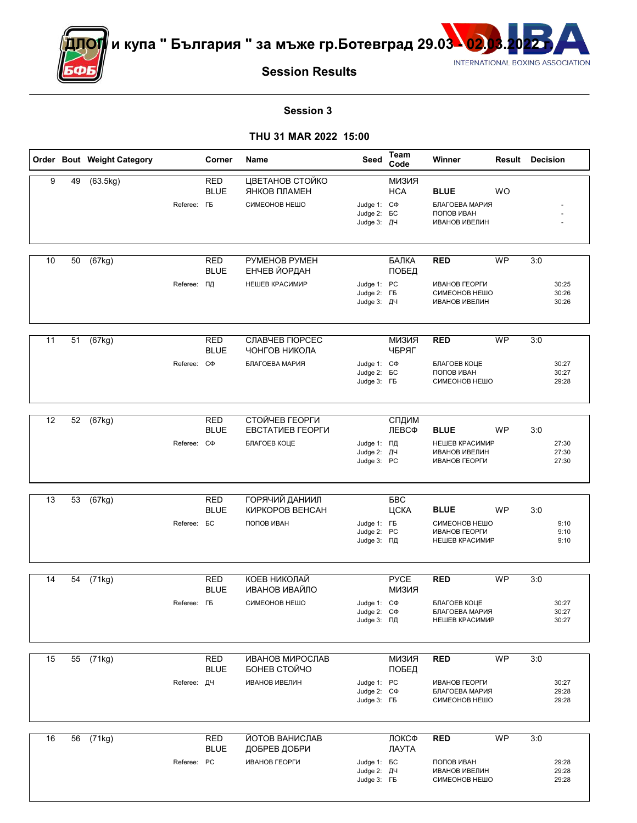



**Session Results**

#### **Session 3**

|    |    | Order Bout Weight Category | Corner                                          | Name                                                      | Seed                                                   | <b>Team</b><br>Code   | Winner                                                                 |           | <b>Result Decision</b>         |
|----|----|----------------------------|-------------------------------------------------|-----------------------------------------------------------|--------------------------------------------------------|-----------------------|------------------------------------------------------------------------|-----------|--------------------------------|
| 9  | 49 | (63.5kg)                   | <b>RED</b><br><b>BLUE</b><br>Referee: <b>FB</b> | ЦВЕТАНОВ СТОЙКО<br>ЯНКОВ ПЛАМЕН<br>СИМЕОНОВ НЕШО          | Judge 1: C $\Phi$<br>Judge 2: <b>6C</b><br>Judge 3: ДЧ | МИЗИЯ<br><b>HCA</b>   | <b>BLUE</b><br>БЛАГОЕВА МАРИЯ<br>ПОПОВ ИВАН<br><b>ИВАНОВ ИВЕЛИН</b>    | <b>WO</b> |                                |
| 10 | 50 | (67kg)                     | RED<br><b>BLUE</b>                              | PYMEHOB PYMEH<br>ЕНЧЕВ ЙОРДАН                             |                                                        | БАЛКА                 | <b>RED</b>                                                             | <b>WP</b> | 3:0                            |
|    |    | Referee:                   | ΠД                                              | НЕШЕВ КРАСИМИР                                            | Judge 1: PC<br>Judge 2: FB<br>Judge 3: ДЧ              | ПОБЕД                 | ИВАНОВ ГЕОРГИ<br>СИМЕОНОВ НЕШО<br><b>ИВАНОВ ИВЕЛИН</b>                 |           | 30:25<br>30:26<br>30:26        |
| 11 | 51 | (67kg)                     | <b>RED</b><br><b>BLUE</b><br>Referee: C $\Phi$  | СЛАВЧЕВ ГЮРСЕС<br>ЧОНГОВ НИКОЛА<br>БЛАГОЕВА МАРИЯ         | Judge 1: C $\Phi$<br>Judge 2: <b>6C</b><br>Judge 3: FB | <b>КИЗИЯ</b><br>ЧБРЯГ | <b>RED</b><br>БЛАГОЕВ КОЦЕ<br>ПОПОВ ИВАН<br>СИМЕОНОВ НЕШО              | <b>WP</b> | 3:0<br>30:27<br>30:27<br>29:28 |
| 12 | 52 | (67kg)                     | <b>RED</b><br><b>BLUE</b><br>Referee: C $\Phi$  | СТОЙЧЕВ ГЕОРГИ<br><b>EBCTATUEB ГЕОРГИ</b><br>БЛАГОЕВ КОЦЕ | Judge 1: ПД<br>Judge 2: ДЧ<br>Judge 3: PC              | СПДИМ<br>ЛЕВСФ        | <b>BLUE</b><br>НЕШЕВ КРАСИМИР<br><b>ИВАНОВ ИВЕЛИН</b><br>ИВАНОВ ГЕОРГИ | <b>WP</b> | 3:0<br>27:30<br>27:30<br>27:30 |
| 13 | 53 | (67kg)                     | <b>RED</b><br><b>BLUE</b><br>Referee: <b>BC</b> | <b>ГОРЯЧИЙ ДАНИИЛ</b><br>КИРКОРОВ ВЕНСАН<br>ПОПОВ ИВАН    | Judge 1: FB<br>Judge 2: PC<br>Judge 3: ПД              | <b>BBC</b><br>ЦСКА    | <b>BLUE</b><br>СИМЕОНОВ НЕШО<br>ИВАНОВ ГЕОРГИ<br>НЕШЕВ КРАСИМИР        | WP        | 3:0<br>9:10<br>9:10<br>9:10    |
| 14 | 54 | (71kg)                     | <b>RED</b><br><b>BLUE</b><br>Referee: <b>FB</b> | КОЕВ НИКОЛАЙ<br>ИВАНОВ ИВАЙЛО<br>СИМЕОНОВ НЕШО            | Judge 1: C $\Phi$<br>Judge 2: C $\Phi$<br>Judge 3: ПД  | <b>PYCE</b><br>КМЕЛИ  | <b>RED</b><br>БЛАГОЕВ КОЦЕ<br>БЛАГОЕВА МАРИЯ<br>НЕШЕВ КРАСИМИР         | <b>WP</b> | 3:0<br>30:27<br>30:27<br>30:27 |
| 15 |    | 55 (71kg)                  | <b>RED</b><br><b>BLUE</b><br>Referee: ДЧ        | ИВАНОВ МИРОСЛАВ<br>БОНЕВ СТОЙЧО<br><b>ИВАНОВ ИВЕЛИН</b>   | Judge 1: PC<br>Judge 2: C $\Phi$<br>Judge 3: FB        | МИЗИЯ<br>ПОБЕД        | <b>RED</b><br>ИВАНОВ ГЕОРГИ<br>БЛАГОЕВА МАРИЯ<br>СИМЕОНОВ НЕШО         | <b>WP</b> | 3:0<br>30:27<br>29:28<br>29:28 |
| 16 | 56 | (71kg)                     | <b>RED</b><br><b>BLUE</b><br>Referee: PC        | ЙОТОВ ВАНИСЛАВ<br>ДОБРЕВ ДОБРИ<br>ИВАНОВ ГЕОРГИ           | Judge 1: <b>BC</b><br>Judge 2: ДЧ<br>Judge 3: FB       | ЛОКСФ<br>ЛАУТА        | RED<br>ПОПОВ ИВАН<br><b>ИВАНОВ ИВЕЛИН</b><br>СИМЕОНОВ НЕШО             | <b>WP</b> | 3:0<br>29:28<br>29:28<br>29:28 |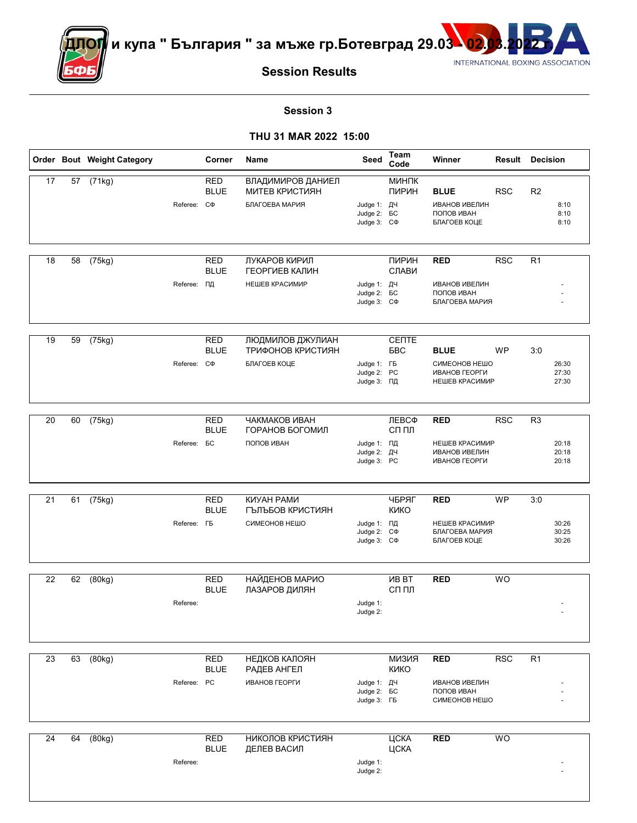



**Session Results**

#### **Session 3**

|                 |    | Order Bout Weight Category |                     | Corner                          | Name                                                         | Seed                                                   | Team<br>Code                | Winner                                                                | <b>Result Decision</b> |                 |                         |
|-----------------|----|----------------------------|---------------------|---------------------------------|--------------------------------------------------------------|--------------------------------------------------------|-----------------------------|-----------------------------------------------------------------------|------------------------|-----------------|-------------------------|
| 17              | 57 | (71kg)                     | Referee: C $\Phi$   | <b>RED</b><br><b>BLUE</b>       | ВЛАДИМИРОВ ДАНИЕЛ<br><b>МИТЕВ КРИСТИЯН</b><br>БЛАГОЕВА МАРИЯ | Judge 1: ДЧ<br>Judge 2: <b>6C</b><br>Judge 3: C $\Phi$ | МИНПК<br>ПИРИН              | <b>BLUE</b><br><b>ИВАНОВ ИВЕЛИН</b><br>ПОПОВ ИВАН<br>БЛАГОЕВ КОЦЕ     | <b>RSC</b>             | R <sub>2</sub>  | 8:10<br>8:10<br>8:10    |
| 18              | 58 | (75kg)                     | Referee:            | <b>RED</b><br><b>BLUE</b><br>ΠД | ЛУКАРОВ КИРИЛ<br>ГЕОРГИЕВ КАЛИН<br>НЕШЕВ КРАСИМИР            | Judge 1: ДЧ<br>Judge 2: <b>BC</b><br>Judge 3: C $\Phi$ | ПИРИН<br>СЛАВИ              | <b>RED</b><br><b>ИВАНОВ ИВЕЛИН</b><br>ПОПОВ ИВАН<br>БЛАГОЕВА МАРИЯ    | <b>RSC</b>             | R <sub>1</sub>  |                         |
| 19              | 59 | (75kg)                     | Referee: C $\Phi$   | <b>RED</b><br><b>BLUE</b>       | ЛЮДМИЛОВ ДЖУЛИАН<br>ТРИФОНОВ КРИСТИЯН<br>БЛАГОЕВ КОЦЕ        | Judge 1: FB<br>Judge 2: PC<br>Judge 3: ПД              | CENTE<br>БBC                | <b>BLUE</b><br>СИМЕОНОВ НЕШО<br>ИВАНОВ ГЕОРГИ<br>НЕШЕВ КРАСИМИР       | WP                     | 3:0             | 26:30<br>27:30<br>27:30 |
| 20              | 60 | (75kg)                     | Referee:            | <b>RED</b><br><b>BLUE</b><br>БC | ЧАКМАКОВ ИВАН<br>ГОРАНОВ БОГОМИЛ<br>ПОПОВ ИВАН               | Judge 1: ПД<br>Judge 2: ДЧ<br>Judge 3: PC              | ЛЕВСФ<br>СП ПЛ              | <b>RED</b><br>НЕШЕВ КРАСИМИР<br><b>ИВАНОВ ИВЕЛИН</b><br>ИВАНОВ ГЕОРГИ | <b>RSC</b>             | R <sub>3</sub>  | 20:18<br>20:18<br>20:18 |
| 21              | 61 | (75kg)                     | Referee: <b>F</b> B | <b>RED</b><br><b>BLUE</b>       | <b>КИУАН РАМИ</b><br>ГЪЛЪБОВ КРИСТИЯН<br>СИМЕОНОВ НЕШО       | Judge 1: ПД<br>Judge 2: C $\Phi$<br>Judge 3: C $\Phi$  | ЧБРЯГ<br><b>KNKO</b>        | <b>RED</b><br>НЕШЕВ КРАСИМИР<br>БЛАГОЕВА МАРИЯ<br>БЛАГОЕВ КОЦЕ        | <b>WP</b>              | 3:0             | 30:26<br>30:25<br>30:26 |
| 22              | 62 | (80kg)                     | Referee:            | <b>RED</b><br><b>BLUE</b>       | НАЙДЕНОВ МАРИО<br>ЛАЗАРОВ ДИЛЯН                              | Judge 1:<br>Judge 2:                                   | <b>VIB BT</b><br>сп пл      | <b>RED</b>                                                            | <b>WO</b>              |                 |                         |
| $\overline{23}$ | 63 | (80kg)                     | Referee: PC         | <b>RED</b><br><b>BLUE</b>       | НЕДКОВ КАЛОЯН<br>РАДЕВ АНГЕЛ<br>ИВАНОВ ГЕОРГИ                | Judge 1: ДЧ<br>Judge 2: <b>6C</b><br>Judge 3: FB       | <b>RNENM</b><br><b>KNKO</b> | <b>RED</b><br><b>ИВАНОВ ИВЕЛИН</b><br>ПОПОВ ИВАН<br>СИМЕОНОВ НЕШО     | <b>RSC</b>             | $\overline{R1}$ |                         |
| 24              | 64 | (80kg)                     | Referee:            | <b>RED</b><br><b>BLUE</b>       | НИКОЛОВ КРИСТИЯН<br>ДЕЛЕВ ВАСИЛ                              | Judge 1:<br>Judge 2:                                   | ЦСКА<br>ЦСКА                | <b>RED</b>                                                            | WO                     |                 |                         |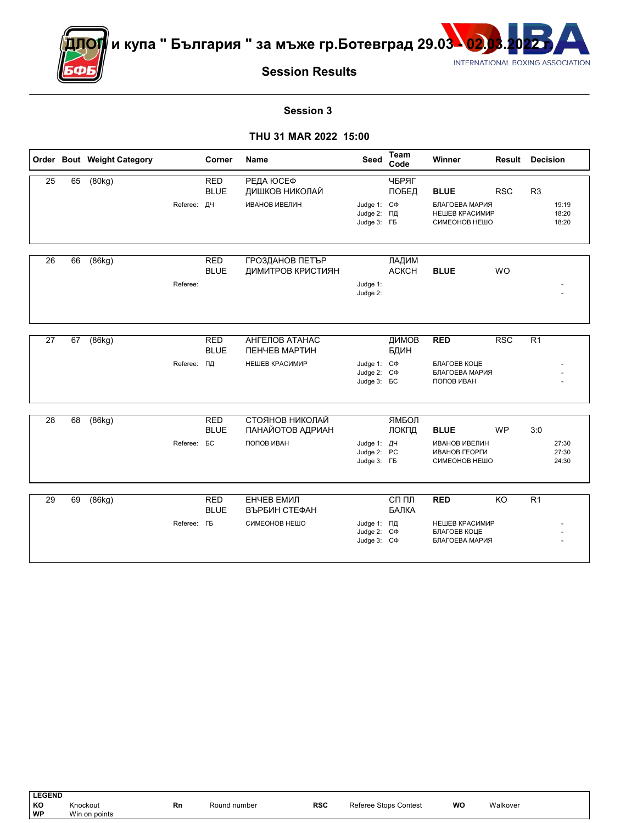

<sup>∣</sup>и купа " България " за мъже гр.Ботевград 29.03 <mark>\ 02</mark>



# **Session Results**

#### **Session 3**

|    |    | Order Bout Weight Category |                    | Corner                    | <b>Name</b>                     | Seed                                                         | <b>Team</b><br>Code   | Winner                                                 | <b>Result Decision</b> |                |                         |
|----|----|----------------------------|--------------------|---------------------------|---------------------------------|--------------------------------------------------------------|-----------------------|--------------------------------------------------------|------------------------|----------------|-------------------------|
| 25 | 65 | (80kg)                     |                    | <b>RED</b><br><b>BLUE</b> | РЕДА ЮСЕФ<br>ДИШКОВ НИКОЛАЙ     |                                                              | ЧБРЯГ<br>ПОБЕД        | <b>BLUE</b>                                            | <b>RSC</b>             | R <sub>3</sub> |                         |
|    |    |                            | Referee: ДЧ        |                           | <b>ИВАНОВ ИВЕЛИН</b>            | Judge 1: C $\Phi$<br>Judge 2: ПД<br>Judge 3: FB              |                       | БЛАГОЕВА МАРИЯ<br>НЕШЕВ КРАСИМИР<br>СИМЕОНОВ НЕШО      |                        |                | 19:19<br>18:20<br>18:20 |
| 26 | 66 | (86kg)                     |                    | <b>RED</b>                | ГРОЗДАНОВ ПЕТЪР                 |                                                              | ЛАДИМ                 |                                                        |                        |                |                         |
|    |    |                            |                    | <b>BLUE</b>               | ДИМИТРОВ КРИСТИЯН               |                                                              | <b>ACKCH</b>          | <b>BLUE</b>                                            | <b>WO</b>              |                |                         |
|    |    |                            | Referee:           |                           |                                 | Judge 1:<br>Judge 2:                                         |                       |                                                        |                        |                |                         |
|    |    |                            |                    |                           |                                 |                                                              |                       |                                                        |                        |                |                         |
| 27 | 67 | (86kg)                     |                    | <b>RED</b><br><b>BLUE</b> | АНГЕЛОВ АТАНАС<br>ПЕНЧЕВ МАРТИН |                                                              | ДИМОВ<br>БДИН         | <b>RED</b>                                             | <b>RSC</b>             | R <sub>1</sub> |                         |
|    |    |                            | Referee: ПД        |                           | НЕШЕВ КРАСИМИР                  | Judge 1: C $\Phi$<br>Judge 2: C $\Phi$<br>Judge 3: <b>BC</b> |                       | БЛАГОЕВ КОЦЕ<br>БЛАГОЕВА МАРИЯ<br>ПОПОВ ИВАН           |                        |                |                         |
|    |    |                            |                    |                           | СТОЯНОВ НИКОЛАЙ                 |                                                              |                       |                                                        |                        |                |                         |
| 28 | 68 | (86kg)                     |                    | <b>RED</b><br><b>BLUE</b> | ПАНАЙОТОВ АДРИАН                |                                                              | ЯМБОЛ<br>ЛОКПД        | <b>BLUE</b>                                            | <b>WP</b>              | 3:0            |                         |
|    |    |                            | Referee:           | БC                        | ПОПОВ ИВАН                      | Judge 1: ДЧ<br>Judge 2: PC<br>Judge 3: FB                    |                       | <b>ИВАНОВ ИВЕЛИН</b><br>ИВАНОВ ГЕОРГИ<br>СИМЕОНОВ НЕШО |                        |                | 27:30<br>27:30<br>24:30 |
|    |    |                            |                    |                           |                                 |                                                              |                       |                                                        |                        |                |                         |
| 29 | 69 | (86kg)                     |                    | <b>RED</b><br><b>BLUE</b> | ЕНЧЕВ ЕМИЛ<br>ВЪРБИН СТЕФАН     |                                                              | СП ПЛ<br><b>БАЛКА</b> | <b>RED</b>                                             | KO                     | R <sub>1</sub> |                         |
|    |    |                            | Referee: <b>FB</b> |                           | СИМЕОНОВ НЕШО                   | Judge 1: ПД<br>Judge 2: C $\Phi$<br>Judge 3: C $\Phi$        |                       | НЕШЕВ КРАСИМИР<br>БЛАГОЕВ КОЦЕ<br>БЛАГОЕВА МАРИЯ       |                        |                |                         |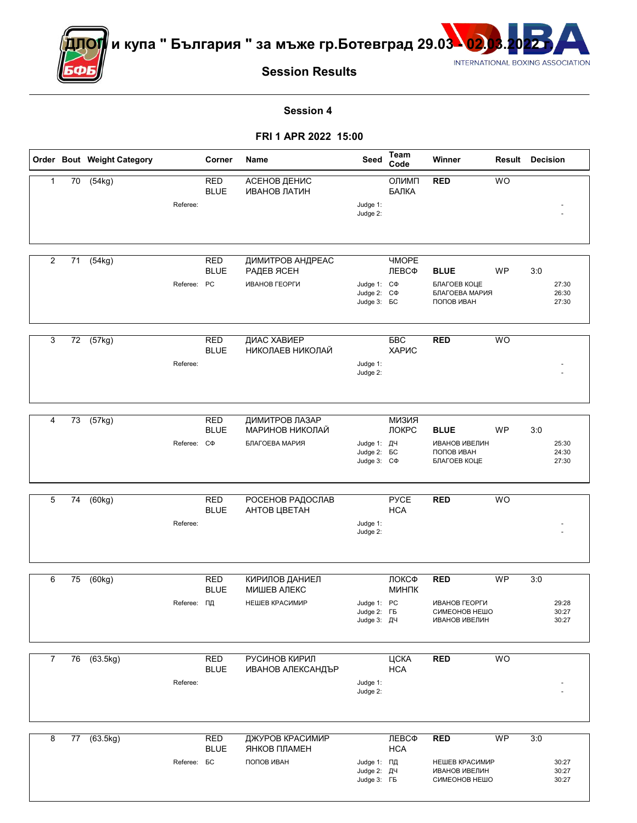

ДОГ<mark>/</mark> и купа " България " за мъже гр.Ботевград 29.03 <mark>- 02</mark>



# **Session Results**

**Session 4** 

**FRI 1 APR 2022 15:00**

|              |    | Order Bout Weight Category |                    | Corner                          | Name                                            | Seed                                                         | <b>Team</b><br>Code          | Winner                                                                | Result    | <b>Decision</b>                |  |
|--------------|----|----------------------------|--------------------|---------------------------------|-------------------------------------------------|--------------------------------------------------------------|------------------------------|-----------------------------------------------------------------------|-----------|--------------------------------|--|
| $\mathbf{1}$ | 70 | (54kg)                     | Referee:           | <b>RED</b><br><b>BLUE</b>       | АСЕНОВ ДЕНИС<br>ИВАНОВ ЛАТИН                    | Judge 1:<br>Judge 2:                                         | ОЛИМП<br>БАЛКА               | <b>RED</b>                                                            | <b>WO</b> |                                |  |
|              |    |                            |                    |                                 |                                                 |                                                              |                              |                                                                       |           |                                |  |
| 2            | 71 | (54kg)                     | Referee:           | <b>RED</b><br><b>BLUE</b><br>PC | ДИМИТРОВ АНДРЕАС<br>РАДЕВ ЯСЕН<br>ИВАНОВ ГЕОРГИ | Judge 1: C $\Phi$<br>Judge 2: C $\Phi$<br>Judge 3: <b>6C</b> | <b><i>HMOPE</i></b><br>ЛЕВСФ | <b>BLUE</b><br>БЛАГОЕВ КОЦЕ<br>БЛАГОЕВА МАРИЯ<br>ПОПОВ ИВАН           | <b>WP</b> | 3:0<br>27:30<br>26:30<br>27:30 |  |
|              |    |                            |                    |                                 |                                                 |                                                              |                              |                                                                       |           |                                |  |
| 3            | 72 | (57kg)                     | Referee:           | <b>RED</b><br><b>BLUE</b>       | ДИАС ХАВИЕР<br>НИКОЛАЕВ НИКОЛАЙ                 | Judge 1:<br>Judge 2:                                         | <b>BBC</b><br>ХАРИС          | <b>RED</b>                                                            | <b>WO</b> |                                |  |
| 4            | 73 | (57kg)                     |                    | <b>RED</b>                      | ДИМИТРОВ ЛАЗАР                                  |                                                              | <b>КИЗИЯ</b>                 |                                                                       |           |                                |  |
|              |    |                            |                    | <b>BLUE</b>                     | МАРИНОВ НИКОЛАЙ                                 |                                                              | ЛОКРС                        | <b>BLUE</b>                                                           | <b>WP</b> | 3:0                            |  |
|              |    |                            | Referee:           | CФ                              | БЛАГОЕВА МАРИЯ                                  | Judge 1: ДЧ<br>Judge 2: <b>6C</b><br>Judge 3: C $\Phi$       |                              | <b>ИВАНОВ ИВЕЛИН</b><br>ПОПОВ ИВАН<br>БЛАГОЕВ КОЦЕ                    |           | 25:30<br>24:30<br>27:30        |  |
| 5            | 74 | (60kg)                     |                    | <b>RED</b>                      | РОСЕНОВ РАДОСЛАВ                                |                                                              | <b>PYCE</b>                  | <b>RED</b>                                                            | <b>WO</b> |                                |  |
|              |    |                            | Referee:           | <b>BLUE</b>                     | АНТОВ ЦВЕТАН                                    | Judge 1:<br>Judge 2:                                         | <b>HCA</b>                   |                                                                       |           |                                |  |
| 6            | 75 | (60kg)                     |                    | <b>RED</b>                      | КИРИЛОВ ДАНИЕЛ                                  |                                                              | ЛОКСФ                        | <b>RED</b>                                                            | <b>WP</b> | 3:0                            |  |
|              |    |                            |                    | <b>BLUE</b>                     | МИШЕВ АЛЕКС                                     |                                                              | МИНПК                        |                                                                       |           |                                |  |
|              |    |                            | Referee:           | ΠД                              | НЕШЕВ КРАСИМИР                                  | Judge 1: PC<br>Judge $2:$ $1b$<br>Judge 3: ДЧ                |                              | ИВАНОВ ГЕОРГИ<br>CNWEOHOR HEMO<br><b>ИВАНОВ ИВЕЛИН</b>                |           | 29:28<br>30:27<br>30:27        |  |
| 7            | 76 | (63.5kg)                   |                    | <b>RED</b>                      | РУСИНОВ КИРИЛ                                   |                                                              | ЦСКА                         | <b>RED</b>                                                            | <b>WO</b> |                                |  |
|              |    |                            | Referee:           | <b>BLUE</b>                     | ИВАНОВ АЛЕКСАНДЪР                               | Judge 1:<br>Judge 2:                                         | <b>HCA</b>                   |                                                                       |           |                                |  |
|              |    |                            |                    |                                 | ДЖУРОВ КРАСИМИР                                 |                                                              |                              |                                                                       |           |                                |  |
| 8            | 77 | (63.5kg)                   | Referee: <b>BC</b> | <b>RED</b><br><b>BLUE</b>       | ЯНКОВ ПЛАМЕН<br>ПОПОВ ИВАН                      | Judge 1: ПД<br>Judge 2: ДЧ<br>Judge 3: FB                    | ЛЕВСФ<br><b>HCA</b>          | <b>RED</b><br>НЕШЕВ КРАСИМИР<br><b>ИВАНОВ ИВЕЛИН</b><br>СИМЕОНОВ НЕШО | WP        | 3:0<br>30:27<br>30:27<br>30:27 |  |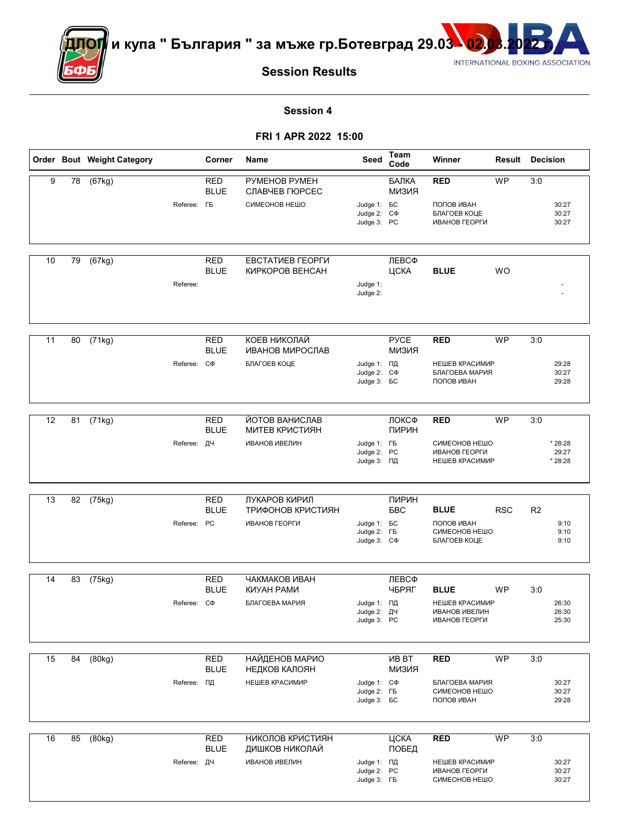

<mark>ДОГ</mark>∥ и купа " България " за мъже гр.Ботевград 29.03 - <mark>02</mark>



# **Session Results**

#### **Session 4**

### **FRI 1 APR 2022 15:00**

|    |    | Order Bout Weight Category |                    | Corner                    | Name                                             | Seed                                                   | Team<br>Code                  | Winner                                                          | Result     | Decision       |                         |
|----|----|----------------------------|--------------------|---------------------------|--------------------------------------------------|--------------------------------------------------------|-------------------------------|-----------------------------------------------------------------|------------|----------------|-------------------------|
| 9  | 78 | (67kg)                     | Referee: <b>FB</b> | RED<br><b>BLUE</b>        | PYMEHOB PYMEH<br>СЛАВЧЕВ ГЮРСЕС<br>СИМЕОНОВ НЕШО | Judge 1: <b>GC</b>                                     | БАЛКА<br><b>КИЗИЯ</b>         | <b>RED</b><br>ПОПОВ ИВАН                                        | <b>WP</b>  | 3:0            | 30:27                   |
|    |    |                            |                    |                           |                                                  | Judge 2: C $\Phi$<br>Judge 3: PC                       |                               | БЛАГОЕВ КОЦЕ<br>ИВАНОВ ГЕОРГИ                                   |            |                | 30:27<br>30:27          |
| 10 | 79 | (67kg)                     |                    | <b>RED</b>                | ЕВСТАТИЕВ ГЕОРГИ                                 |                                                        | ЛЕВСФ                         |                                                                 |            |                |                         |
|    |    |                            | Referee:           | <b>BLUE</b>               | КИРКОРОВ ВЕНСАН                                  | Judge 1:<br>Judge 2:                                   | ЦСКА                          | <b>BLUE</b>                                                     | <b>WO</b>  |                |                         |
| 11 | 80 | (71kg)                     |                    | <b>RED</b><br><b>BLUE</b> | КОЕВ НИКОЛАЙ<br>ИВАНОВ МИРОСЛАВ                  |                                                        | <b>PYCE</b><br><b>КИЗИЯ</b>   | <b>RED</b>                                                      | <b>WP</b>  | 3:0            |                         |
|    |    |                            | Referee: C $\Phi$  |                           | БЛАГОЕВ КОЦЕ                                     | Judge 1: ПД<br>Judge 2: C $\Phi$<br>Judge 3: <b>6C</b> |                               | НЕШЕВ КРАСИМИР<br>БЛАГОЕВА МАРИЯ<br>ПОПОВ ИВАН                  |            |                | 29:28<br>30:27<br>29:28 |
| 12 | 81 | (71kg)                     |                    | <b>RED</b>                | ЙОТОВ ВАНИСЛАВ                                   |                                                        | ЛОКСФ                         | <b>RED</b>                                                      | <b>WP</b>  | 3:0            |                         |
|    |    |                            | Referee: ДЧ        | <b>BLUE</b>               | <b>МИТЕВ КРИСТИЯН</b><br><b>ИВАНОВ ИВЕЛИН</b>    | Judge 1: FB<br>Judge 2: PC                             | ПИРИН                         | СИМЕОНОВ НЕШО<br>ИВАНОВ ГЕОРГИ                                  |            |                | * 28:28<br>29:27        |
|    |    |                            |                    |                           |                                                  | Judge 3: ПД                                            |                               | НЕШЕВ КРАСИМИР                                                  |            |                | * 28:28                 |
| 13 | 82 | (75kg)                     |                    | <b>RED</b>                | ЛУКАРОВ КИРИЛ                                    |                                                        | ПИРИН                         |                                                                 |            |                |                         |
|    |    |                            | Referee: PC        | <b>BLUE</b>               | ТРИФОНОВ КРИСТИЯН<br>ИВАНОВ ГЕОРГИ               | Judge 1: <b>GC</b><br>Judge 2: FB<br>Judge 3: C $\Phi$ | <b>BBC</b>                    | <b>BLUE</b><br>ПОПОВ ИВАН<br>СИМЕОНОВ НЕШО<br>БЛАГОЕВ КОЦЕ      | <b>RSC</b> | R <sub>2</sub> | 9:10<br>9:10<br>9:10    |
| 14 | 83 | (75kg)                     |                    | <b>RED</b>                | ЧАКМАКОВ ИВАН                                    |                                                        | ЛЕВСФ                         |                                                                 |            |                |                         |
|    |    |                            | Referee: C $\Phi$  | <b>BLUE</b>               | КИУАН РАМИ<br>БЛАГОЕВА МАРИЯ                     | Judge 1: ПД<br>Judge $2:$ $\mu$ 4<br>Judge 3: PC       | ЧБРЯГ                         | <b>BLUE</b><br>НЕШЕВ КРАСИМИР<br>ИВАНОВ ИВЕЛИН<br>ИВАНОВ ГЕОРГИ | <b>WP</b>  | 3:0            | 26:30<br>26:30<br>25:30 |
| 15 | 84 | (80kg)                     |                    | <b>RED</b><br><b>BLUE</b> | <b>НАЙДЕНОВ МАРИО</b><br>НЕДКОВ КАЛОЯН           |                                                        | <b>VIB BT</b><br><b>КИЗИЯ</b> | <b>RED</b>                                                      | <b>WP</b>  | 3:0            |                         |
|    |    |                            | Referee: ПД        |                           | НЕШЕВ КРАСИМИР                                   | Judge 1: C $\Phi$<br>Judge 2: FB<br>Judge 3: <b>BC</b> |                               | БЛАГОЕВА МАРИЯ<br>СИМЕОНОВ НЕШО<br>ПОПОВ ИВАН                   |            |                | 30:27<br>30:27<br>29:28 |
| 16 | 85 | (80kg)                     |                    | <b>RED</b>                | НИКОЛОВ КРИСТИЯН                                 |                                                        | ЦСКА                          | <b>RED</b>                                                      | WP         | 3:0            |                         |
|    |    |                            | Referee: ДЧ        | <b>BLUE</b>               | ДИШКОВ НИКОЛАЙ<br><b>ИВАНОВ ИВЕЛИН</b>           | Judge 1: ПД<br>Judge 2: PC<br>Judge 3: FB              | ПОБЕД                         | НЕШЕВ КРАСИМИР<br>ИВАНОВ ГЕОРГИ<br>СИМЕОНОВ НЕШО                |            |                | 30:27<br>30:27<br>30:27 |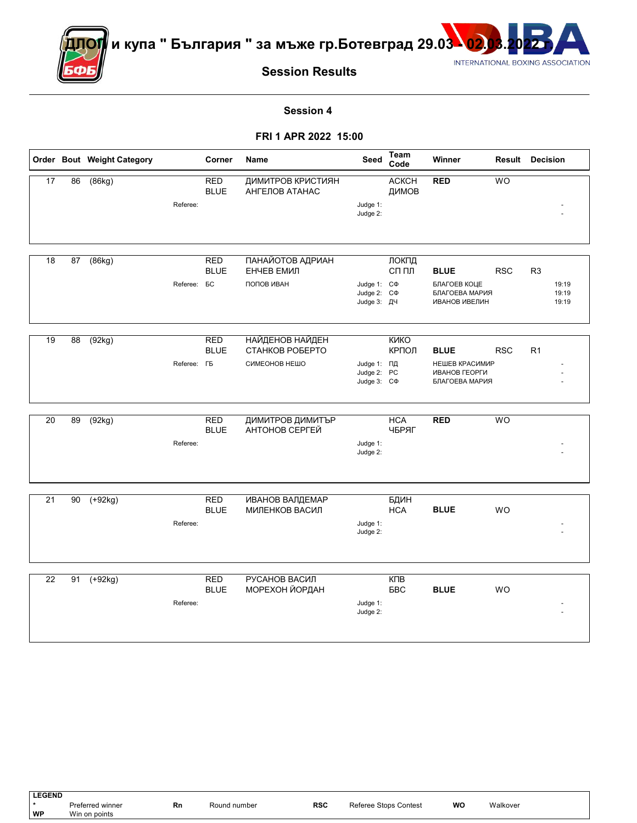

 $^{\prime}$ и купа " България " за мъже гр.Ботевград 29.03 $^{\bullet}$ 02



**Session Results**

#### **Session 4**

#### **FRI 1 APR 2022 15:00**

|    |    | Order Bout Weight Category |                    | Corner                          | Name                                         | Seed                                                  | <b>Team</b><br>Code   | Winner                                                                |            | <b>Result Decision</b>                    |
|----|----|----------------------------|--------------------|---------------------------------|----------------------------------------------|-------------------------------------------------------|-----------------------|-----------------------------------------------------------------------|------------|-------------------------------------------|
| 17 | 86 | (86kg)                     | Referee:           | <b>RED</b><br><b>BLUE</b>       | <b>ДИМИТРОВ КРИСТИЯН</b><br>АНГЕЛОВ АТАНАС   | Judge 1:<br>Judge 2:                                  | <b>ACKCH</b><br>ДИМОВ | <b>RED</b>                                                            | <b>WO</b>  |                                           |
|    |    |                            |                    |                                 |                                              |                                                       |                       |                                                                       |            |                                           |
| 18 | 87 | (86kg)                     | Referee:           | <b>RED</b><br><b>BLUE</b><br>БC | ПАНАЙОТОВ АДРИАН<br>ЕНЧЕВ ЕМИЛ<br>ПОПОВ ИВАН | Judge 1: C $\Phi$<br>Judge 2: C $\Phi$<br>Judge 3: ДЧ | ЛОКПД<br>СП ПЛ        | <b>BLUE</b><br>БЛАГОЕВ КОЦЕ<br>БЛАГОЕВА МАРИЯ<br><b>ИВАНОВ ИВЕЛИН</b> | <b>RSC</b> | R <sub>3</sub><br>19:19<br>19:19<br>19:19 |
|    |    |                            |                    |                                 |                                              |                                                       |                       |                                                                       |            |                                           |
| 19 | 88 | (92kg)                     |                    | <b>RED</b><br><b>BLUE</b>       | <b>НАЙДЕНОВ НАЙДЕН</b><br>СТАНКОВ РОБЕРТО    |                                                       | <b>KNKO</b><br>КРПОЛ  | <b>BLUE</b>                                                           | <b>RSC</b> | R1                                        |
|    |    |                            | Referee: <b>FB</b> |                                 | СИМЕОНОВ НЕШО                                | Judge 1: ПД<br>Judge 2: PC<br>Judge 3: C $\Phi$       |                       | НЕШЕВ КРАСИМИР<br>ИВАНОВ ГЕОРГИ<br>БЛАГОЕВА МАРИЯ                     |            |                                           |
| 20 | 89 | (92kg)                     |                    | <b>RED</b>                      | ДИМИТРОВ ДИМИТЪР                             |                                                       | <b>HCA</b>            | <b>RED</b>                                                            | <b>WO</b>  |                                           |
|    |    |                            | Referee:           | <b>BLUE</b>                     | АНТОНОВ СЕРГЕЙ                               | Judge 1:<br>Judge 2:                                  | ЧБРЯГ                 |                                                                       |            |                                           |
|    |    |                            |                    |                                 |                                              |                                                       |                       |                                                                       |            |                                           |
| 21 | 90 | $(+92kg)$                  |                    | <b>RED</b>                      | <b>ИВАНОВ ВАЛДЕМАР</b>                       |                                                       | БДИН                  |                                                                       |            |                                           |
|    |    |                            | Referee:           | <b>BLUE</b>                     | МИЛЕНКОВ ВАСИЛ                               | Judge 1:<br>Judge 2:                                  | <b>HCA</b>            | <b>BLUE</b>                                                           | <b>WO</b>  |                                           |
|    |    |                            |                    |                                 |                                              |                                                       |                       |                                                                       |            |                                           |
| 22 | 91 | $(+92kg)$                  |                    | <b>RED</b><br><b>BLUE</b>       | <b>РУСАНОВ ВАСИЛ</b><br>МОРЕХОН ЙОРДАН       |                                                       | КПВ<br>БBC            | <b>BLUE</b>                                                           | <b>WO</b>  |                                           |
|    |    |                            | Referee:           |                                 |                                              | Judge 1:<br>Judge 2:                                  |                       |                                                                       |            |                                           |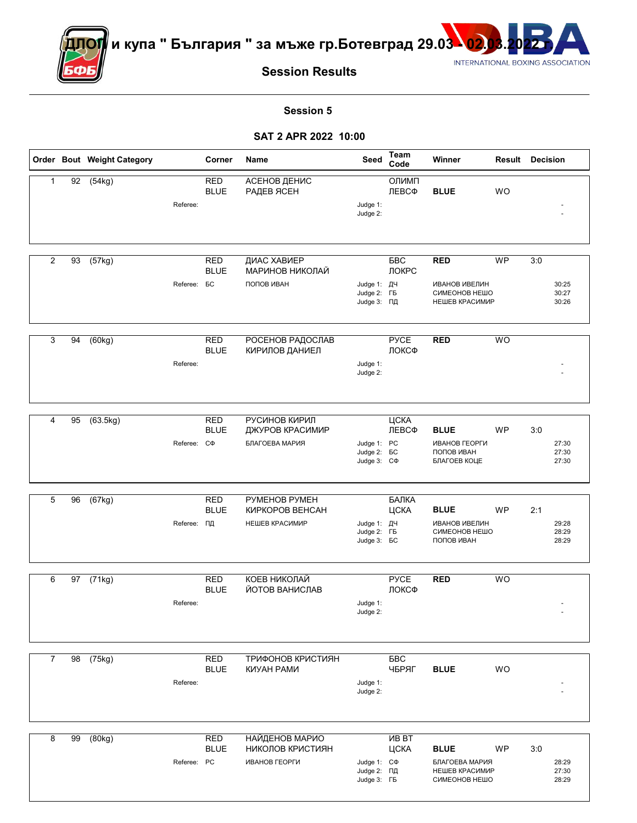

<mark>ДОГ</mark> и купа " България " за мъже гр.Ботевград 29.03 <mark>- 02</mark>



**Session Results**

**Session 5** 

**SAT 2 APR 2022 10:00**

|                |                 | Order Bout Weight Category |                    | Corner                    | Name                                      | Seed                                                   | Team<br>Code          | Winner                                                  |           | <b>Result Decision</b>  |
|----------------|-----------------|----------------------------|--------------------|---------------------------|-------------------------------------------|--------------------------------------------------------|-----------------------|---------------------------------------------------------|-----------|-------------------------|
| $\mathbf{1}$   | 92              | (54kg)                     | Referee:           | <b>RED</b><br><b>BLUE</b> | АСЕНОВ ДЕНИС<br>РАДЕВ ЯСЕН                | Judge 1:<br>Judge 2:                                   | ОЛИМП<br>ЛЕВСФ        | <b>BLUE</b>                                             | <b>WO</b> |                         |
|                |                 |                            |                    |                           |                                           |                                                        |                       |                                                         |           |                         |
| 2              | 93              | (57kg)                     |                    | <b>RED</b><br><b>BLUE</b> | ДИАС ХАВИЕР<br>МАРИНОВ НИКОЛАЙ            |                                                        | БBC<br>ЛОКРС          | <b>RED</b>                                              | <b>WP</b> | 3:0                     |
|                |                 |                            | Referee: <b>BC</b> |                           | ПОПОВ ИВАН                                | Judge 1: ДЧ<br>Judge 2: FB<br>Judge 3: ПД              |                       | <b>ИВАНОВ ИВЕЛИН</b><br>СИМЕОНОВ НЕШО<br>НЕШЕВ КРАСИМИР |           | 30:25<br>30:27<br>30:26 |
| 3              | 94              | (60kg)                     |                    | <b>RED</b>                | РОСЕНОВ РАДОСЛАВ                          |                                                        | <b>PYCE</b>           | <b>RED</b>                                              | <b>WO</b> |                         |
|                |                 |                            |                    | <b>BLUE</b>               | КИРИЛОВ ДАНИЕЛ                            |                                                        | ЛОКСФ                 |                                                         |           |                         |
|                |                 |                            | Referee:           |                           |                                           | Judge 1:<br>Judge 2:                                   |                       |                                                         |           |                         |
|                |                 |                            |                    |                           |                                           |                                                        |                       |                                                         |           |                         |
| 4              | 95              | (63.5kg)                   |                    | <b>RED</b><br><b>BLUE</b> | РУСИНОВ КИРИЛ<br>ДЖУРОВ КРАСИМИР          |                                                        | ЦСКА<br>ЛЕВСФ         | <b>BLUE</b>                                             | <b>WP</b> | 3:0                     |
|                |                 |                            | Referee: C $\Phi$  |                           | БЛАГОЕВА МАРИЯ                            | Judge 1: PC<br>Judge 2: <b>6C</b><br>Judge 3: C $\Phi$ |                       | ИВАНОВ ГЕОРГИ<br>ПОПОВ ИВАН<br>БЛАГОЕВ КОЦЕ             |           | 27:30<br>27:30<br>27:30 |
|                |                 |                            |                    |                           |                                           |                                                        |                       |                                                         |           |                         |
| 5              | 96              | (67kg)                     |                    | <b>RED</b><br><b>BLUE</b> | PYMEHOB PYMEH<br>КИРКОРОВ ВЕНСАН          |                                                        | БАЛКА<br>ЦСКА         | <b>BLUE</b>                                             | <b>WP</b> | 2:1                     |
|                |                 |                            | Referee: ПД        |                           | НЕШЕВ КРАСИМИР                            | Judge 1: ДЧ<br>Judge 2: FB<br>Judge 3: <b>6C</b>       |                       | <b>ИВАНОВ ИВЕЛИН</b><br>СИМЕОНОВ НЕШО<br>ПОПОВ ИВАН     |           | 29:28<br>28:29<br>28:29 |
|                |                 |                            |                    |                           |                                           |                                                        |                       |                                                         |           |                         |
| 6              | 97              | (71kg)                     |                    | <b>RED</b><br><b>BLUE</b> | КОЕВ НИКОЛАЙ<br>ЙОТОВ ВАНИСЛАВ            |                                                        | <b>PYCE</b><br>ЛОКСФ  | <b>RED</b>                                              | <b>WO</b> |                         |
|                |                 |                            | Referee:           |                           |                                           | Judge 1:<br>Judge 2:                                   |                       |                                                         |           |                         |
|                |                 |                            |                    |                           |                                           |                                                        |                       |                                                         |           |                         |
| $\overline{7}$ | $\overline{98}$ | (75kg)                     |                    | <b>RED</b><br><b>BLUE</b> | ТРИФОНОВ КРИСТИЯН<br>КИУАН РАМИ           |                                                        | БBC<br>ЧБРЯГ          | <b>BLUE</b>                                             | <b>WO</b> |                         |
|                |                 |                            | Referee:           |                           |                                           | Judge 1:<br>Judge 2:                                   |                       |                                                         |           |                         |
|                |                 |                            |                    |                           |                                           |                                                        |                       |                                                         |           |                         |
| 8              | 99              | (80kg)                     |                    | <b>RED</b><br><b>BLUE</b> | <b>НАЙДЕНОВ МАРИО</b><br>НИКОЛОВ КРИСТИЯН |                                                        | <b>VIB BT</b><br>ЦСКА | <b>BLUE</b>                                             | WP        | 3:0                     |
|                |                 |                            | Referee: PC        |                           | ИВАНОВ ГЕОРГИ                             | Judge 1: C $\Phi$<br>Judge 2: ПД<br>Judge 3: FB        |                       | БЛАГОЕВА МАРИЯ<br>НЕШЕВ КРАСИМИР<br>СИМЕОНОВ НЕШО       |           | 28:29<br>27:30<br>28:29 |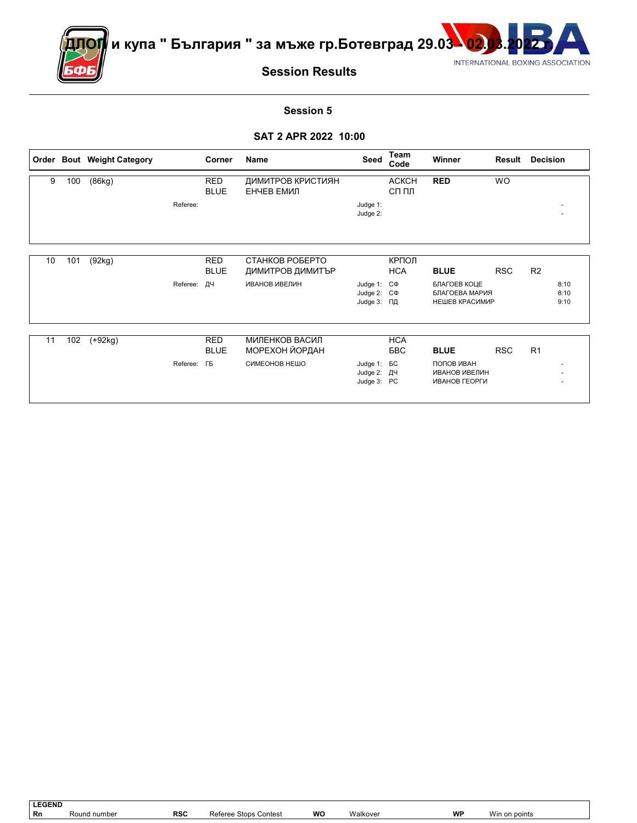

ПО<mark>Г∥</mark> и купа " България " за мъже гр.Ботевград 29.03 <mark>.02.03.20</mark>22



# **Session Results**

#### **Session 5**

### **SAT 2 APR 2022 10:00**

|    |     | Order Bout Weight Category |                    | Corner                    | <b>Name</b>                         | <b>Seed</b>                                          | Team<br>Code             | <b>Winner</b>                                       | Result     | <b>Decision</b>      |
|----|-----|----------------------------|--------------------|---------------------------|-------------------------------------|------------------------------------------------------|--------------------------|-----------------------------------------------------|------------|----------------------|
| 9  | 100 | (86kg)                     |                    | <b>RED</b><br><b>BLUE</b> | ДИМИТРОВ КРИСТИЯН<br>ЕНЧЕВ ЕМИЛ     |                                                      | <b>ACKCH</b><br>СП ПЛ    | <b>RED</b>                                          | <b>WO</b>  |                      |
|    |     |                            | Referee:           |                           |                                     | Judge 1:<br>Judge 2:                                 |                          |                                                     |            |                      |
|    |     |                            |                    |                           |                                     |                                                      |                          |                                                     |            |                      |
| 10 | 101 | (92kg)                     |                    | <b>RED</b><br><b>BLUE</b> | СТАНКОВ РОБЕРТО<br>ДИМИТРОВ ДИМИТЪР |                                                      | КРПОЛ<br><b>HCA</b>      | <b>BLUE</b>                                         | <b>RSC</b> | R <sub>2</sub>       |
|    |     |                            | Referee: ДЧ        |                           | <b>ИВАНОВ ИВЕЛИН</b>                | Judge 1: C $\Phi$<br>Judge 2: $C\Phi$<br>Judge 3: ПД |                          | БЛАГОЕВ КОЦЕ<br>БЛАГОЕВА МАРИЯ<br>НЕШЕВ КРАСИМИР    |            | 8:10<br>8:10<br>9:10 |
|    |     |                            |                    |                           |                                     |                                                      |                          |                                                     |            |                      |
| 11 | 102 | $(+92kg)$                  |                    | <b>RED</b><br><b>BLUE</b> | МИЛЕНКОВ ВАСИЛ<br>МОРЕХОН ЙОРДАН    |                                                      | <b>HCA</b><br><b>BBC</b> | <b>BLUE</b>                                         | <b>RSC</b> | R <sub>1</sub>       |
|    |     |                            | Referee: <b>FB</b> |                           | СИМЕОНОВ НЕШО                       | Judge 1: <b>BC</b><br>Judge 2: ДЧ<br>Judge 3: PC     |                          | ПОПОВ ИВАН<br><b>ИВАНОВ ИВЕЛИН</b><br>ИВАНОВ ГЕОРГИ |            |                      |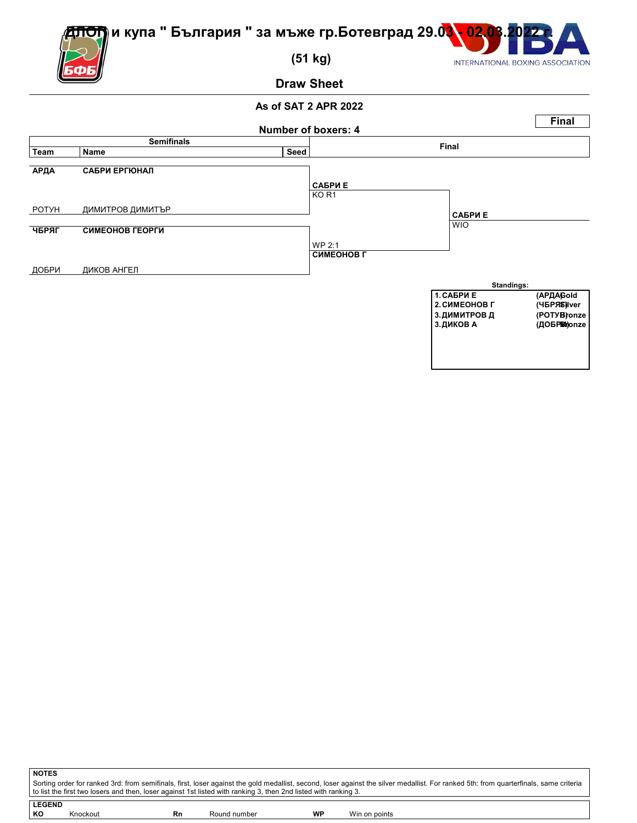

 **(51 kg)**

ጠ

INTERNATIONAL BOXING ASSOCIATION

**Draw Sheet**



| <b>NOTES</b>   |                                                                                                                                                                                                                                                                                                          |              |    |               |  |  |  |  |  |  |
|----------------|----------------------------------------------------------------------------------------------------------------------------------------------------------------------------------------------------------------------------------------------------------------------------------------------------------|--------------|----|---------------|--|--|--|--|--|--|
|                | Sorting order for ranked 3rd: from semifinals, first, loser against the gold medallist, second, loser against the silver medallist. For ranked 5th: from quarterfinals, same criteria<br>to list the first two losers and then, loser against 1st listed with ranking 3, then 2nd listed with ranking 3. |              |    |               |  |  |  |  |  |  |
| <b>LEGEND</b>  |                                                                                                                                                                                                                                                                                                          |              |    |               |  |  |  |  |  |  |
| KО<br>Knockout | Rn                                                                                                                                                                                                                                                                                                       | Round number | WP | Win on points |  |  |  |  |  |  |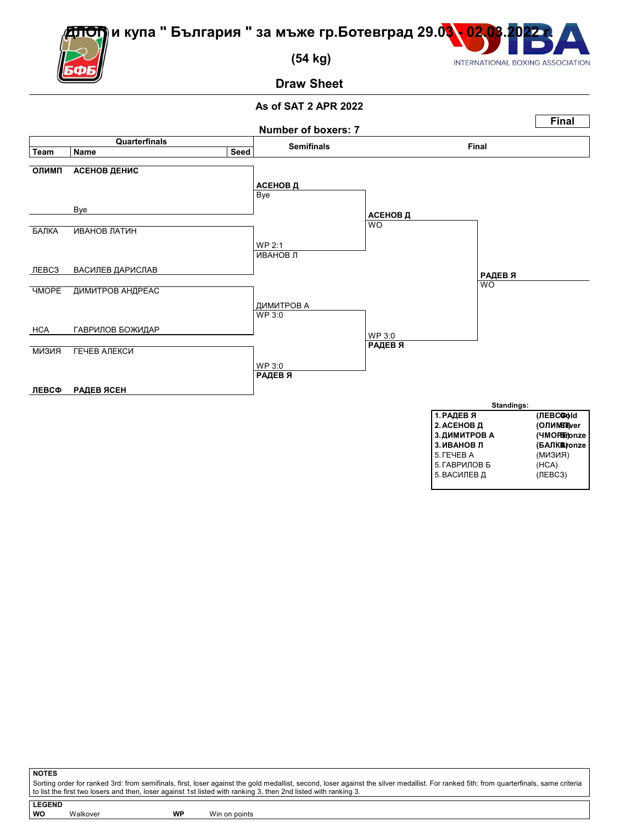ОП) и купа " България " за мъже гр.Ботевград 29.0<mark>3 - 02.</mark>



 **(54 kg)**

INTERNATIONAL BOXING ASSOCIATION

**Draw Sheet**

# **As of SAT 2 APR 2022**



**NOTES** Sorting order for ranked 3rd: from semifinals, first, loser against the gold medallist, second, loser against the silver medallist. For ranked 5th: from quarterfinals, same criteria to list the first two losers and then, loser against 1st listed with ranking 3, then 2nd listed with ranking 3. **LEGEND**

**WO** Walkover **WP** Win on points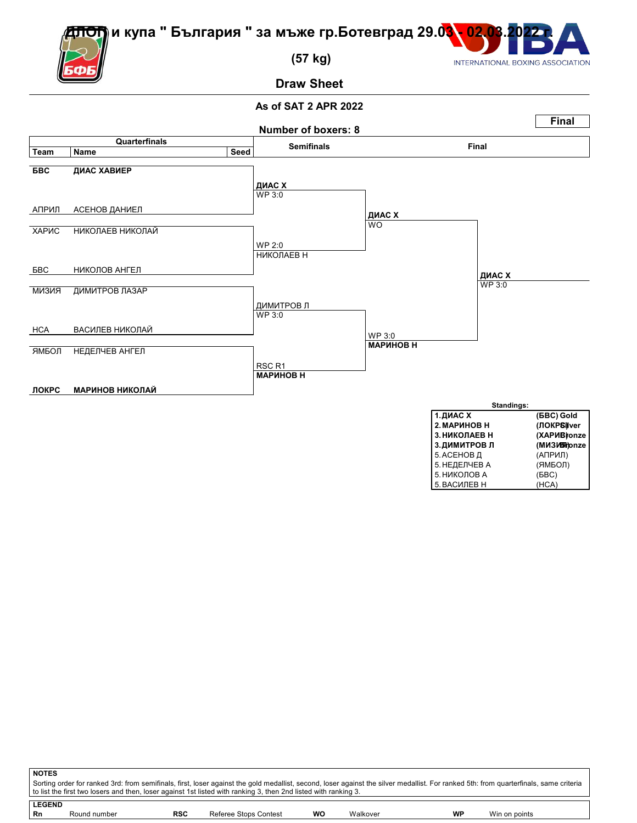

5. НИКОЛОВ А

5. ВАСИЛЕВ Н (HCA)

 **(57 kg)**

m

**Draw Sheet**



| <b>NOTES</b>  |              |            |                                                                                                                                                                                                                                                                                                          |    |          |    |               |  |
|---------------|--------------|------------|----------------------------------------------------------------------------------------------------------------------------------------------------------------------------------------------------------------------------------------------------------------------------------------------------------|----|----------|----|---------------|--|
|               |              |            | Sorting order for ranked 3rd: from semifinals, first, loser against the gold medallist, second, loser against the silver medallist. For ranked 5th: from quarterfinals, same criteria<br>to list the first two losers and then, loser against 1st listed with ranking 3, then 2nd listed with ranking 3. |    |          |    |               |  |
| <b>LEGEND</b> |              |            |                                                                                                                                                                                                                                                                                                          |    |          |    |               |  |
| Rn            | Round number | <b>RSC</b> | Referee Stops Contest                                                                                                                                                                                                                                                                                    | wo | Walkover | WP | Win on points |  |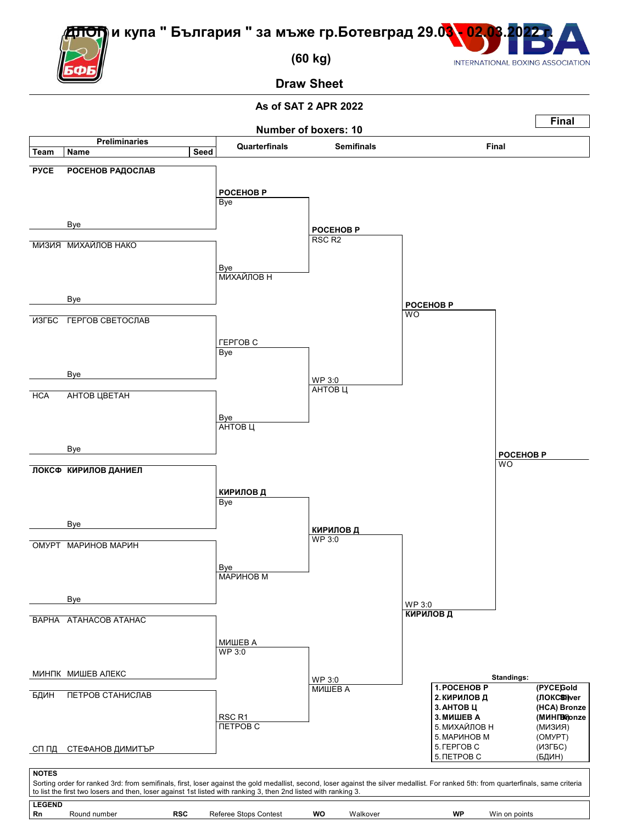<del>ОП</del>)и купа " България " за мъже гр.Ботевград 29.0<mark>3 - 02</mark>.



 **(60 kg)**

INTERNATIONAL BOXING ASSOCIATION

**Draw Sheet**

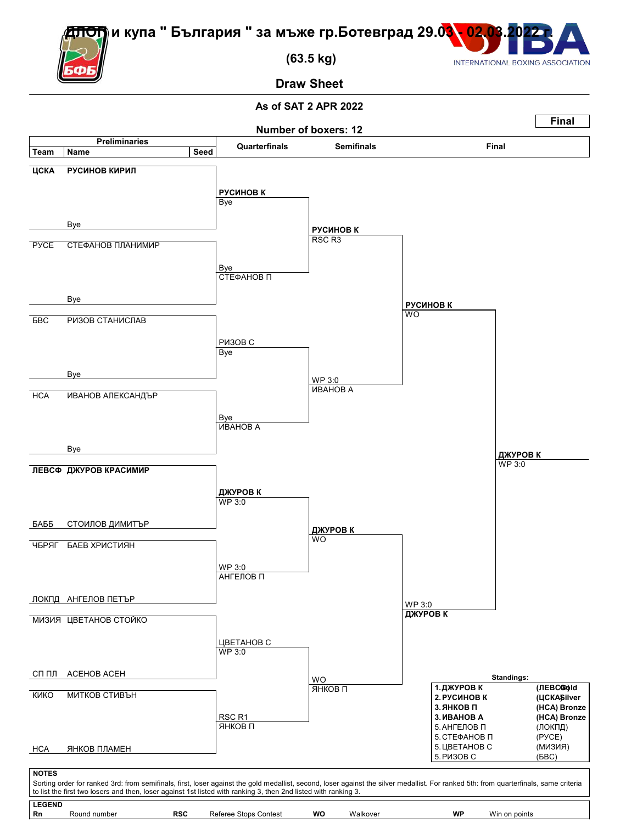

 **(63.5 kg)**

INTERNATIONAL BOXING ASSOCIATION

**Draw Sheet**

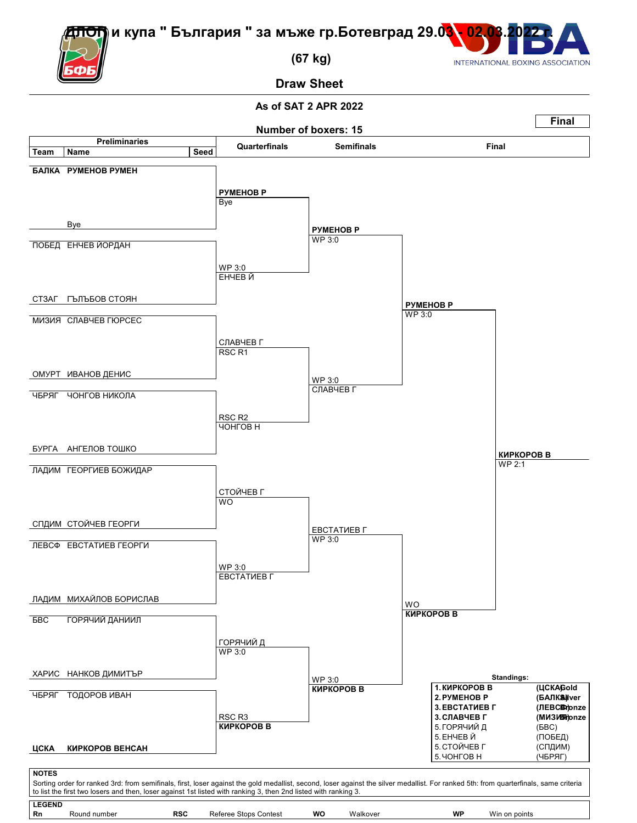<del>ОЛ</del>) и купа " България " за мъже гр.Ботевград 29.0<mark>3 - 02.0</mark>



 **(67 kg)**

**Draw Sheet**

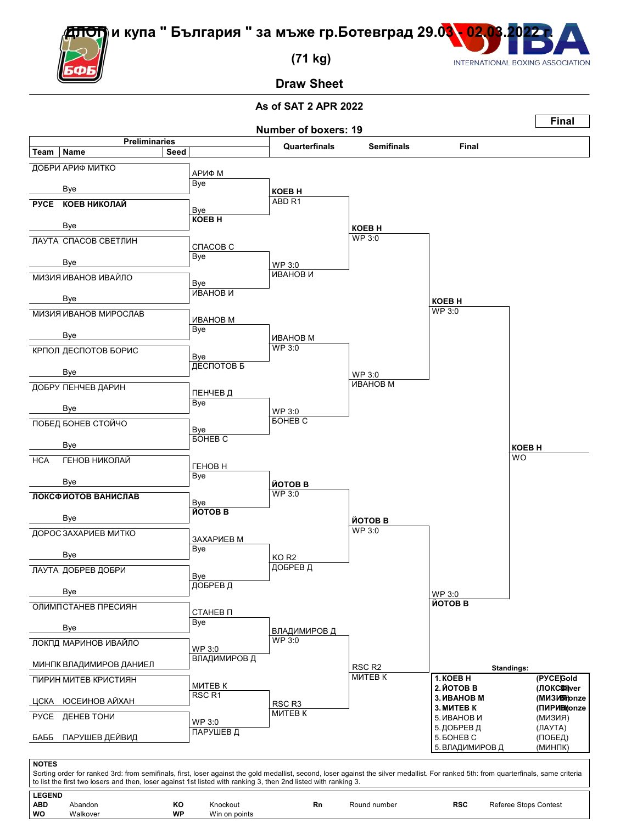ОП) и купа " България " за мъже гр.Ботевград 29.03<mark>. 02.03</mark>



 **(71 kg)**

**Draw Sheet**



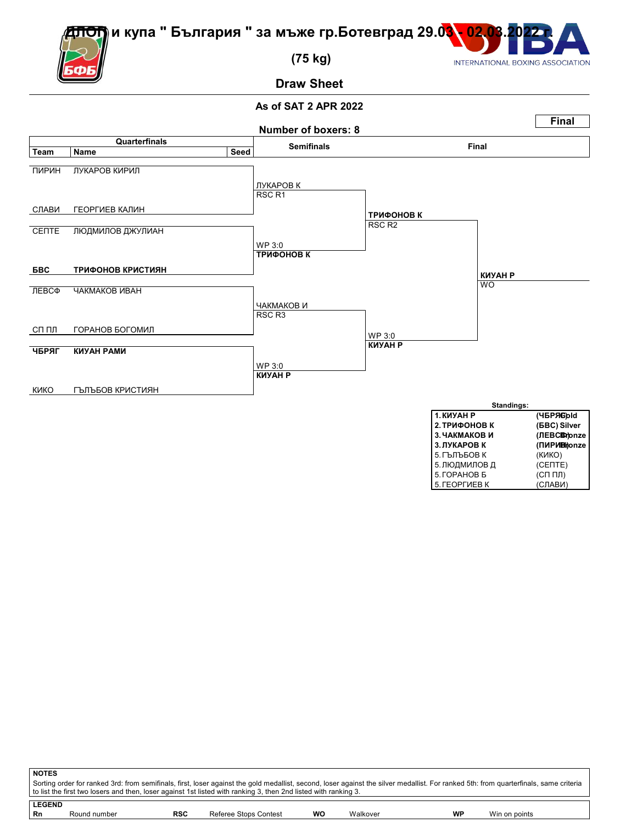

 **(75 kg)**

## **Draw Sheet**

### **As of SAT 2 APR 2022**



| <u>INIJAH F</u> | (185718)IU            |
|-----------------|-----------------------|
| 2. ТРИФОНОВ К   | ( <b>GBC</b> ) Silver |
| 3. ЧАКМАКОВ И   | (JIEBCENthonze        |
| 3. ЛУКАРОВ К    | (ПИРИВі)onze          |
| 5. ГЪЛЪБОВ К    | (KNKO)                |
| 5. ЛЮДМИЛОВ Д   | (CENTE)               |
| 5. ГОРАНОВ Б    | $(CH \Pi)$            |
| 5. ГЕОРГИЕВ К   | (СЛАВИ)               |

INTERNATIONAL BOXING ASSOCIATION

| ∣ NOTES                                                                                                                                                                               |                                                                                                                 |     |                       |    |          |    |               |  |  |  |
|---------------------------------------------------------------------------------------------------------------------------------------------------------------------------------------|-----------------------------------------------------------------------------------------------------------------|-----|-----------------------|----|----------|----|---------------|--|--|--|
| Sorting order for ranked 3rd: from semifinals, first, loser against the gold medallist, second, loser against the silver medallist. For ranked 5th: from quarterfinals, same criteria |                                                                                                                 |     |                       |    |          |    |               |  |  |  |
|                                                                                                                                                                                       | to list the first two losers and then, loser against 1st listed with ranking 3, then 2nd listed with ranking 3. |     |                       |    |          |    |               |  |  |  |
|                                                                                                                                                                                       |                                                                                                                 |     |                       |    |          |    |               |  |  |  |
| <b>LEGEND</b>                                                                                                                                                                         |                                                                                                                 |     |                       |    |          |    |               |  |  |  |
| l Rn                                                                                                                                                                                  | Round number                                                                                                    | RSC | Referee Stops Contest | WO | Walkover | WP | Win on points |  |  |  |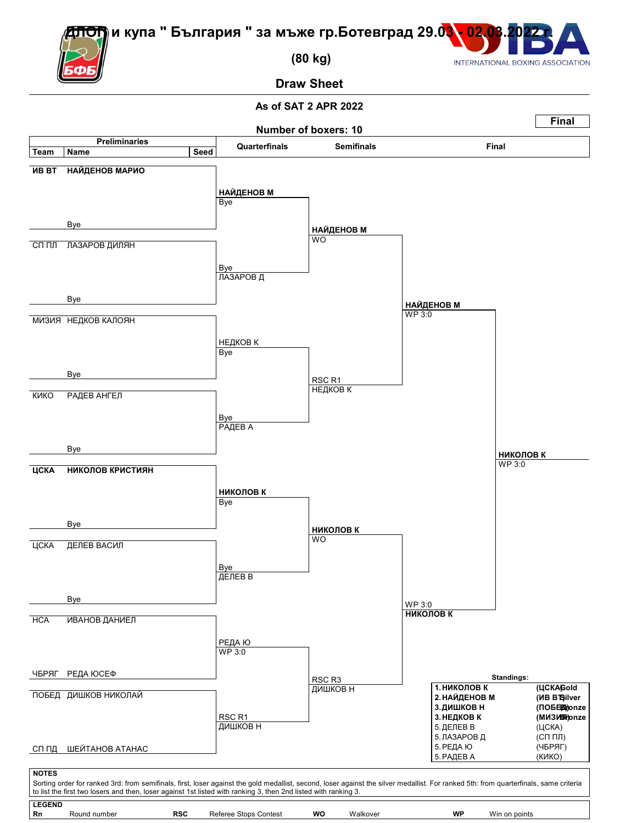

 **(80 kg)**

INTERNATIONAL BOXING ASSOCIATION

**Draw Sheet**

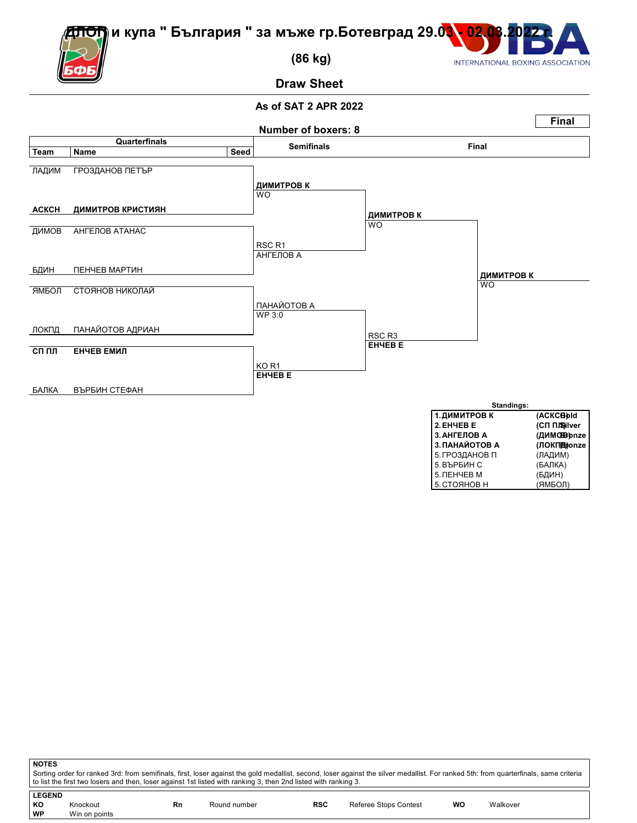

 **(86 kg)**

# **Draw Sheet**

### **As of SAT 2 APR 2022**



5.СТОЯНОВ Н (ЯМБОЛ)

INTERNATIONAL BOXING ASSOCIATION

**NOTES** Sorting order for ranked 3rd: from semifinals, first, loser against the gold medallist, second, loser against the silver medallist. For ranked 5th: from quarterfinals, same criteria to list the first two losers and then, loser against 1st listed with ranking 3, then 2nd listed with ranking 3. **LEGEND**

| KO | Knockout<br>. | Rn | Round number<br>. | <b>RSC</b> | Referee Stops Contest | wo | Walkover |
|----|---------------|----|-------------------|------------|-----------------------|----|----------|
| WP | Win on points |    |                   |            |                       |    |          |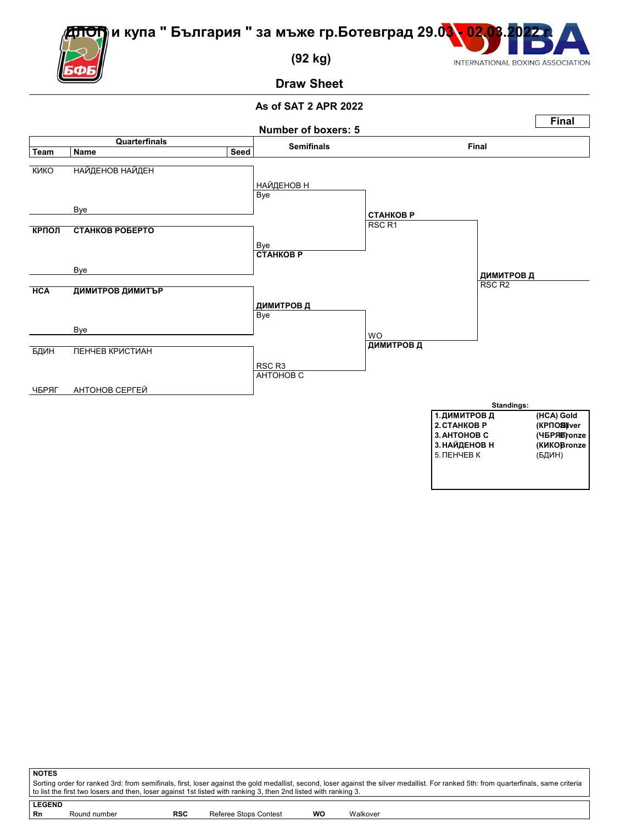<del>О</del>П) и купа " България " за мъже гр.Ботевград 29.0<mark>3 - 02.</mark>



 **(92 kg)**

INTERNATIONAL BOXING ASSOCIATION

**Draw Sheet**



| <b>NOTES</b>  |                                                                                                                                                                                                                                                                                                          |            |                       |    |          |  |  |  |  |  |
|---------------|----------------------------------------------------------------------------------------------------------------------------------------------------------------------------------------------------------------------------------------------------------------------------------------------------------|------------|-----------------------|----|----------|--|--|--|--|--|
|               | Sorting order for ranked 3rd: from semifinals, first, loser against the gold medallist, second, loser against the silver medallist. For ranked 5th: from quarterfinals, same criteria<br>to list the first two losers and then, loser against 1st listed with ranking 3, then 2nd listed with ranking 3. |            |                       |    |          |  |  |  |  |  |
|               |                                                                                                                                                                                                                                                                                                          |            |                       |    |          |  |  |  |  |  |
| <b>LEGEND</b> |                                                                                                                                                                                                                                                                                                          |            |                       |    |          |  |  |  |  |  |
| Rn            | Round number                                                                                                                                                                                                                                                                                             | <b>RSC</b> | Referee Stops Contest | wo | Walkover |  |  |  |  |  |